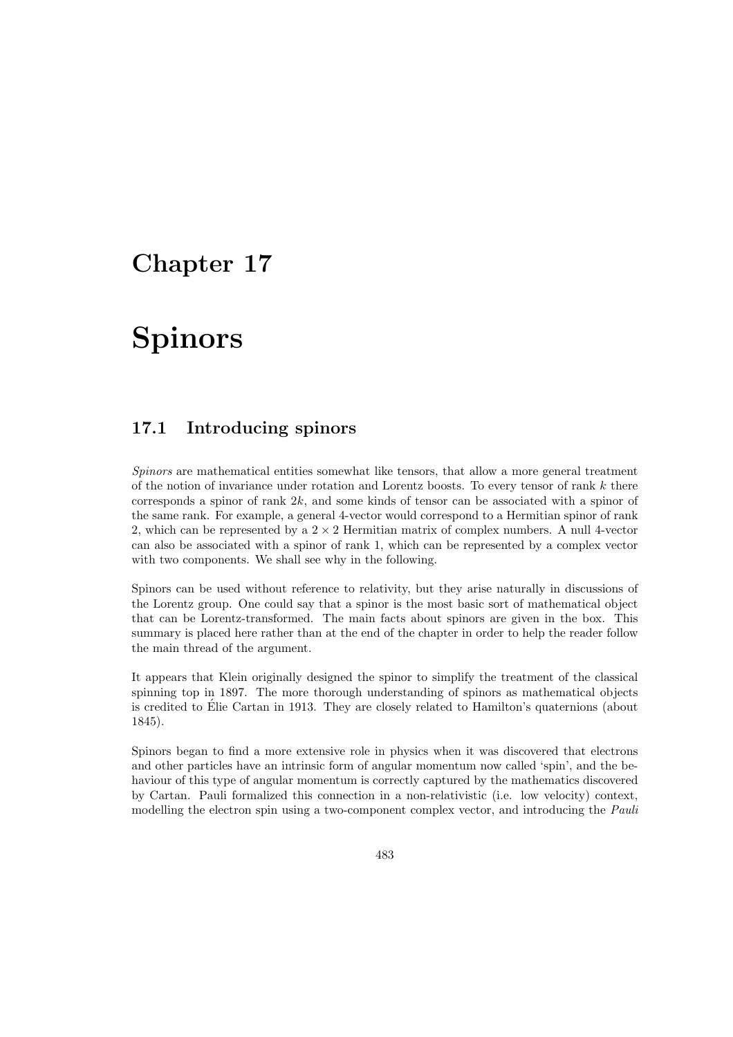## Chapter 17

# Spinors

## 17.1 Introducing spinors

Spinors are mathematical entities somewhat like tensors, that allow a more general treatment of the notion of invariance under rotation and Lorentz boosts. To every tensor of rank k there corresponds a spinor of rank  $2k$ , and some kinds of tensor can be associated with a spinor of the same rank. For example, a general 4-vector would correspond to a Hermitian spinor of rank 2, which can be represented by a  $2 \times 2$  Hermitian matrix of complex numbers. A null 4-vector can also be associated with a spinor of rank 1, which can be represented by a complex vector with two components. We shall see why in the following.

Spinors can be used without reference to relativity, but they arise naturally in discussions of the Lorentz group. One could say that a spinor is the most basic sort of mathematical object that can be Lorentz-transformed. The main facts about spinors are given in the box. This summary is placed here rather than at the end of the chapter in order to help the reader follow the main thread of the argument.

It appears that Klein originally designed the spinor to simplify the treatment of the classical spinning top in 1897. The more thorough understanding of spinors as mathematical objects is credited to Elie Cartan in 1913. They are closely related to Hamilton's quaternions (about ´ 1845).

Spinors began to find a more extensive role in physics when it was discovered that electrons and other particles have an intrinsic form of angular momentum now called 'spin', and the behaviour of this type of angular momentum is correctly captured by the mathematics discovered by Cartan. Pauli formalized this connection in a non-relativistic (i.e. low velocity) context, modelling the electron spin using a two-component complex vector, and introducing the *Pauli*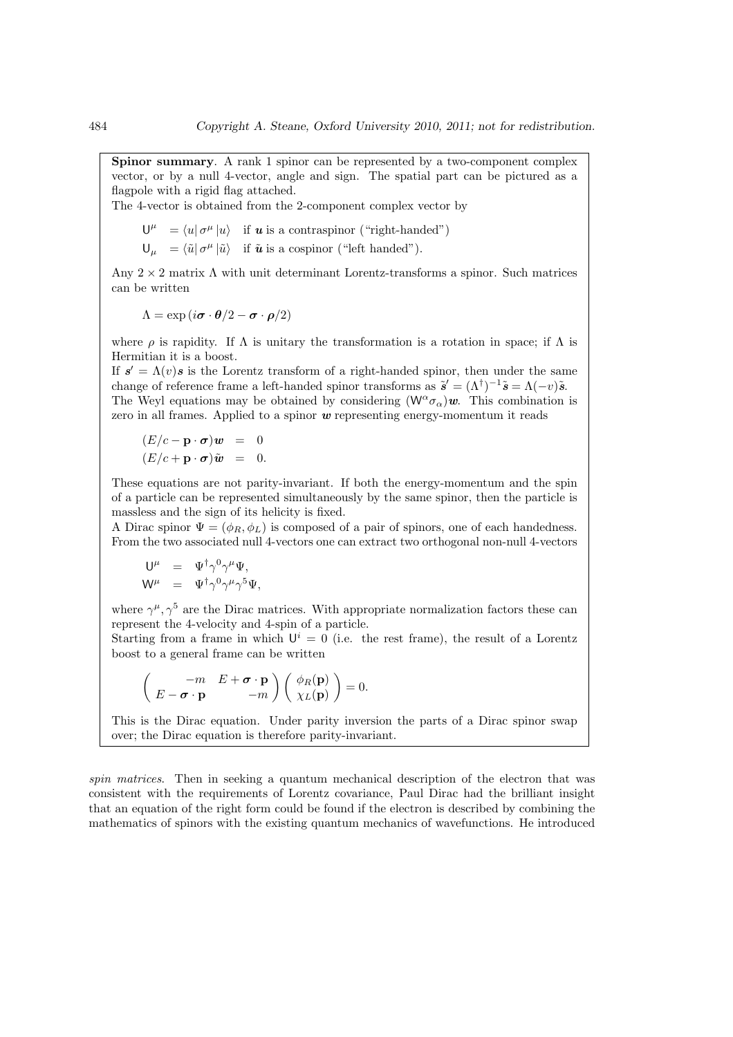Spinor summary. A rank 1 spinor can be represented by a two-component complex vector, or by a null 4-vector, angle and sign. The spatial part can be pictured as a flagpole with a rigid flag attached.

The 4-vector is obtained from the 2-component complex vector by

$$
\begin{aligned}\n\mathsf{U}^{\mu} &= \langle u | \, \sigma^{\mu} | u \rangle \quad \text{if } u \text{ is a contraspinor ("right-handed")} \\
\mathsf{U}_{\mu} &= \langle \tilde{u} | \, \sigma^{\mu} | \tilde{u} \rangle \quad \text{if } \tilde{u} \text{ is a cospinor ("left handed").}\n\end{aligned}
$$

Any  $2 \times 2$  matrix  $\Lambda$  with unit determinant Lorentz-transforms a spinor. Such matrices

can be written

$$
\Lambda = \exp(i\boldsymbol{\sigma} \cdot \boldsymbol{\theta}/2 - \boldsymbol{\sigma} \cdot \boldsymbol{\rho}/2)
$$

where  $\rho$  is rapidity. If  $\Lambda$  is unitary the transformation is a rotation in space; if  $\Lambda$  is Hermitian it is a boost.

If  $s' = \Lambda(v) s$  is the Lorentz transform of a right-handed spinor, then under the same change of reference frame a left-handed spinor transforms as  $\tilde{s}' = (\Lambda^{\dagger})^{-1}\tilde{s} = \Lambda(-v)\tilde{s}$ . The Weyl equations may be obtained by considering  $(W^{\alpha} \sigma_{\alpha})w$ . This combination is zero in all frames. Applied to a spinor  $w$  representing energy-momentum it reads

$$
(E/c - \mathbf{p} \cdot \boldsymbol{\sigma})\boldsymbol{w} = 0
$$
  

$$
(E/c + \mathbf{p} \cdot \boldsymbol{\sigma})\tilde{\boldsymbol{w}} = 0.
$$

These equations are not parity-invariant. If both the energy-momentum and the spin of a particle can be represented simultaneously by the same spinor, then the particle is massless and the sign of its helicity is fixed.

A Dirac spinor  $\Psi = (\phi_R, \phi_L)$  is composed of a pair of spinors, one of each handedness. From the two associated null 4-vectors one can extract two orthogonal non-null 4-vectors

$$
\begin{array}{rcl}\n\mathsf{U}^{\mu} & = & \Psi^{\dagger} \gamma^0 \gamma^{\mu} \Psi, \\
\mathsf{W}^{\mu} & = & \Psi^{\dagger} \gamma^0 \gamma^{\mu} \gamma^5 \Psi,\n\end{array}
$$

where  $\gamma^{\mu}, \gamma^5$  are the Dirac matrices. With appropriate normalization factors these can represent the 4-velocity and 4-spin of a particle.

Starting from a frame in which  $U^i = 0$  (i.e. the rest frame), the result of a Lorentz boost to a general frame can be written

$$
\begin{pmatrix} -m & E + \boldsymbol{\sigma} \cdot \mathbf{p} \\ E - \boldsymbol{\sigma} \cdot \mathbf{p} & -m \end{pmatrix} \begin{pmatrix} \phi_R(\mathbf{p}) \\ \chi_L(\mathbf{p}) \end{pmatrix} = 0.
$$

This is the Dirac equation. Under parity inversion the parts of a Dirac spinor swap over; the Dirac equation is therefore parity-invariant.

spin matrices. Then in seeking a quantum mechanical description of the electron that was consistent with the requirements of Lorentz covariance, Paul Dirac had the brilliant insight that an equation of the right form could be found if the electron is described by combining the mathematics of spinors with the existing quantum mechanics of wavefunctions. He introduced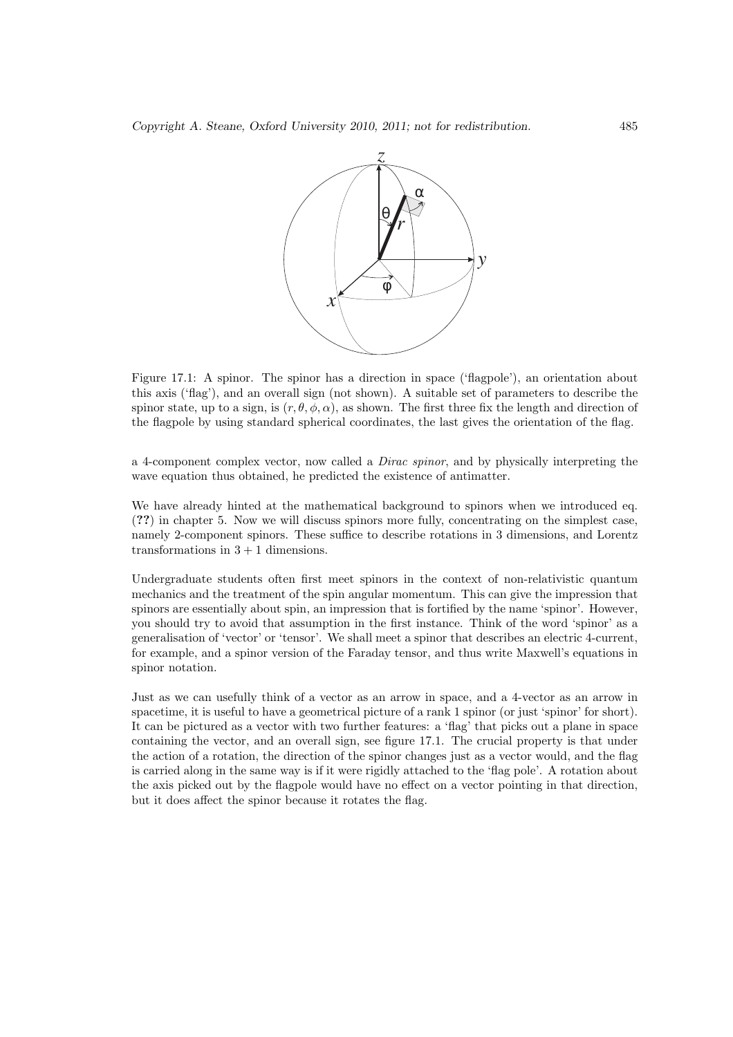

Figure 17.1: A spinor. The spinor has a direction in space ('flagpole'), an orientation about this axis ('flag'), and an overall sign (not shown). A suitable set of parameters to describe the spinor state, up to a sign, is  $(r, \theta, \phi, \alpha)$ , as shown. The first three fix the length and direction of the flagpole by using standard spherical coordinates, the last gives the orientation of the flag.

a 4-component complex vector, now called a Dirac spinor, and by physically interpreting the wave equation thus obtained, he predicted the existence of antimatter.

We have already hinted at the mathematical background to spinors when we introduced eq. (??) in chapter 5. Now we will discuss spinors more fully, concentrating on the simplest case, namely 2-component spinors. These suffice to describe rotations in 3 dimensions, and Lorentz transformations in  $3 + 1$  dimensions.

Undergraduate students often first meet spinors in the context of non-relativistic quantum mechanics and the treatment of the spin angular momentum. This can give the impression that spinors are essentially about spin, an impression that is fortified by the name 'spinor'. However, you should try to avoid that assumption in the first instance. Think of the word 'spinor' as a generalisation of 'vector' or 'tensor'. We shall meet a spinor that describes an electric 4-current, for example, and a spinor version of the Faraday tensor, and thus write Maxwell's equations in spinor notation.

Just as we can usefully think of a vector as an arrow in space, and a 4-vector as an arrow in spacetime, it is useful to have a geometrical picture of a rank 1 spinor (or just 'spinor' for short). It can be pictured as a vector with two further features: a 'flag' that picks out a plane in space containing the vector, and an overall sign, see figure 17.1. The crucial property is that under the action of a rotation, the direction of the spinor changes just as a vector would, and the flag is carried along in the same way is if it were rigidly attached to the 'flag pole'. A rotation about the axis picked out by the flagpole would have no effect on a vector pointing in that direction, but it does affect the spinor because it rotates the flag.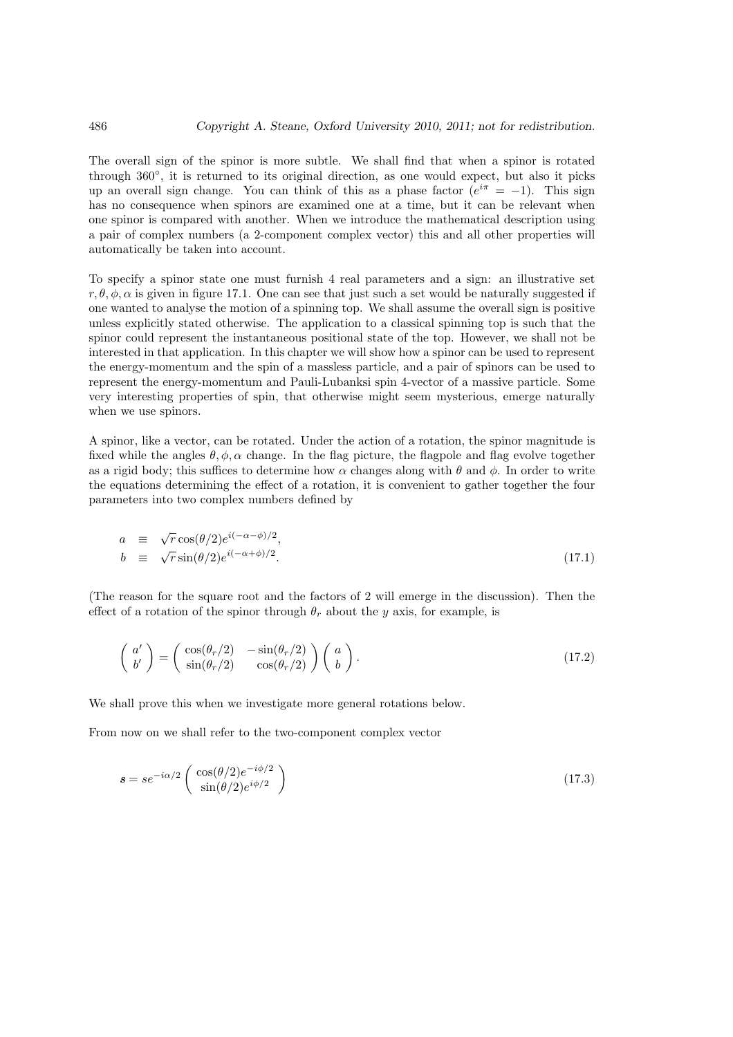The overall sign of the spinor is more subtle. We shall find that when a spinor is rotated through 360◦ , it is returned to its original direction, as one would expect, but also it picks up an overall sign change. You can think of this as a phase factor  $(e^{i\pi} = -1)$ . This sign has no consequence when spinors are examined one at a time, but it can be relevant when one spinor is compared with another. When we introduce the mathematical description using a pair of complex numbers (a 2-component complex vector) this and all other properties will automatically be taken into account.

To specify a spinor state one must furnish 4 real parameters and a sign: an illustrative set r,  $\theta$ ,  $\phi$ ,  $\alpha$  is given in figure 17.1. One can see that just such a set would be naturally suggested if one wanted to analyse the motion of a spinning top. We shall assume the overall sign is positive unless explicitly stated otherwise. The application to a classical spinning top is such that the spinor could represent the instantaneous positional state of the top. However, we shall not be interested in that application. In this chapter we will show how a spinor can be used to represent the energy-momentum and the spin of a massless particle, and a pair of spinors can be used to represent the energy-momentum and Pauli-Lubanksi spin 4-vector of a massive particle. Some very interesting properties of spin, that otherwise might seem mysterious, emerge naturally when we use spinors.

A spinor, like a vector, can be rotated. Under the action of a rotation, the spinor magnitude is fixed while the angles  $\theta$ ,  $\phi$ ,  $\alpha$  change. In the flag picture, the flagpole and flag evolve together as a rigid body; this suffices to determine how  $\alpha$  changes along with  $\theta$  and  $\phi$ . In order to write the equations determining the effect of a rotation, it is convenient to gather together the four parameters into two complex numbers defined by

$$
a \equiv \sqrt{r} \cos(\theta/2) e^{i(-\alpha-\phi)/2},
$$
  
\n
$$
b \equiv \sqrt{r} \sin(\theta/2) e^{i(-\alpha+\phi)/2}.
$$
\n(17.1)

(The reason for the square root and the factors of 2 will emerge in the discussion). Then the effect of a rotation of the spinor through  $\theta_r$  about the y axis, for example, is

$$
\begin{pmatrix} a' \\ b' \end{pmatrix} = \begin{pmatrix} \cos(\theta_r/2) & -\sin(\theta_r/2) \\ \sin(\theta_r/2) & \cos(\theta_r/2) \end{pmatrix} \begin{pmatrix} a \\ b \end{pmatrix}.
$$
 (17.2)

We shall prove this when we investigate more general rotations below.

From now on we shall refer to the two-component complex vector

$$
\mathbf{s} = s e^{-i\alpha/2} \begin{pmatrix} \cos(\theta/2)e^{-i\phi/2} \\ \sin(\theta/2)e^{i\phi/2} \end{pmatrix} \tag{17.3}
$$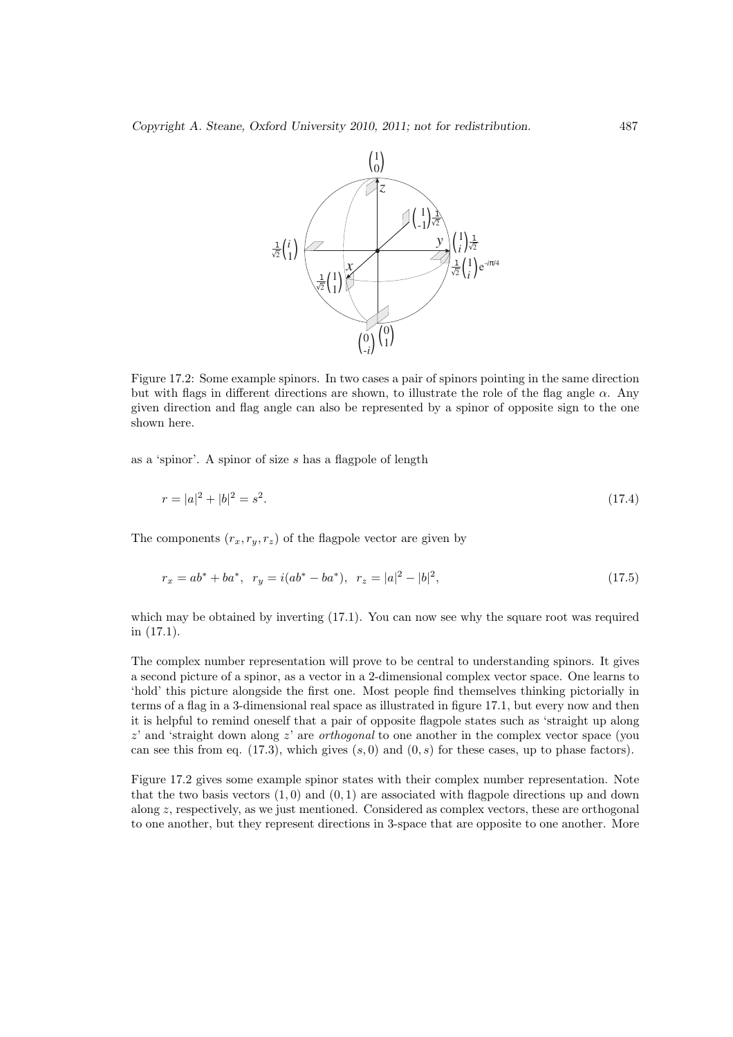

Figure 17.2: Some example spinors. In two cases a pair of spinors pointing in the same direction but with flags in different directions are shown, to illustrate the role of the flag angle  $\alpha$ . Any given direction and flag angle can also be represented by a spinor of opposite sign to the one shown here.

as a 'spinor'. A spinor of size s has a flagpole of length

$$
r = |a|^2 + |b|^2 = s^2. \tag{17.4}
$$

The components  $(r_x, r_y, r_z)$  of the flagpole vector are given by

$$
r_x = ab^* + ba^*, \ r_y = i(ab^* - ba^*), \ r_z = |a|^2 - |b|^2,
$$
\n(17.5)

which may be obtained by inverting  $(17.1)$ . You can now see why the square root was required in (17.1).

The complex number representation will prove to be central to understanding spinors. It gives a second picture of a spinor, as a vector in a 2-dimensional complex vector space. One learns to 'hold' this picture alongside the first one. Most people find themselves thinking pictorially in terms of a flag in a 3-dimensional real space as illustrated in figure 17.1, but every now and then it is helpful to remind oneself that a pair of opposite flagpole states such as 'straight up along  $z'$  and 'straight down along  $z'$  are *orthogonal* to one another in the complex vector space (you can see this from eq. (17.3), which gives  $(s, 0)$  and  $(0, s)$  for these cases, up to phase factors).

Figure 17.2 gives some example spinor states with their complex number representation. Note that the two basis vectors  $(1,0)$  and  $(0,1)$  are associated with flagpole directions up and down along z, respectively, as we just mentioned. Considered as complex vectors, these are orthogonal to one another, but they represent directions in 3-space that are opposite to one another. More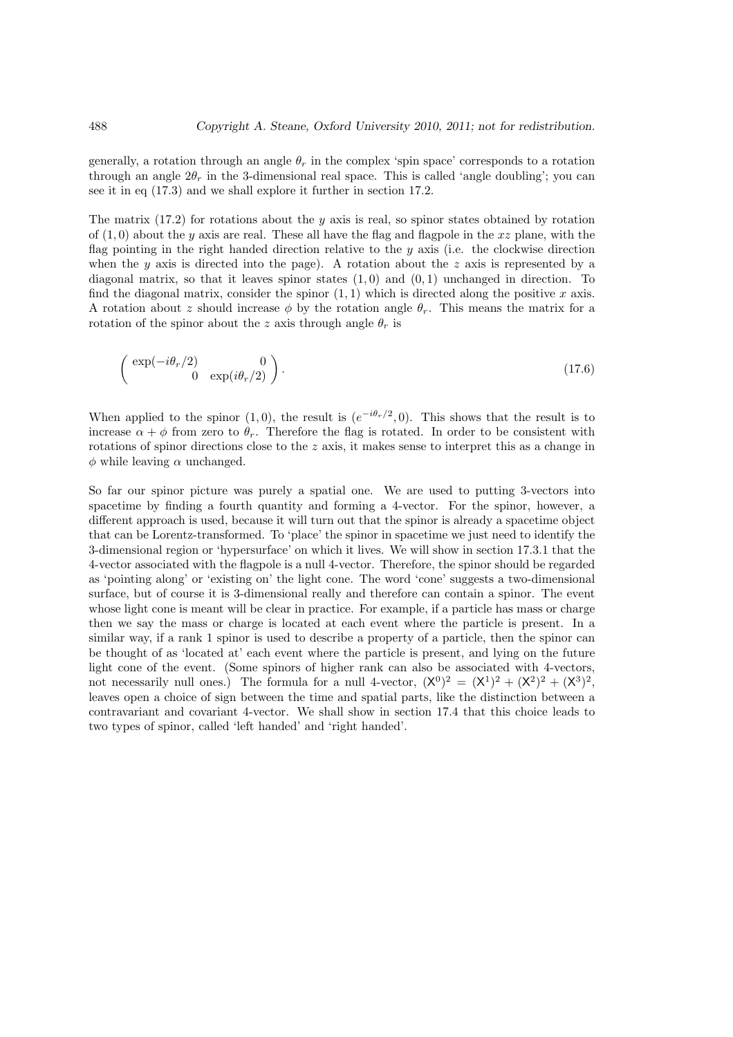generally, a rotation through an angle  $\theta_r$  in the complex 'spin space' corresponds to a rotation through an angle  $2\theta_r$  in the 3-dimensional real space. This is called 'angle doubling'; you can see it in eq (17.3) and we shall explore it further in section 17.2.

The matrix  $(17.2)$  for rotations about the y axis is real, so spinor states obtained by rotation of  $(1,0)$  about the y axis are real. These all have the flag and flagpole in the xz plane, with the flag pointing in the right handed direction relative to the  $y$  axis (i.e. the clockwise direction when the y axis is directed into the page). A rotation about the z axis is represented by a diagonal matrix, so that it leaves spinor states  $(1, 0)$  and  $(0, 1)$  unchanged in direction. To find the diagonal matrix, consider the spinor  $(1, 1)$  which is directed along the positive x axis. A rotation about z should increase  $\phi$  by the rotation angle  $\theta_r$ . This means the matrix for a rotation of the spinor about the z axis through angle  $\theta_r$  is

$$
\left(\begin{array}{cc}\n\exp(-i\theta_r/2) & 0\\
0 & \exp(i\theta_r/2)\n\end{array}\right).
$$
\n(17.6)

When applied to the spinor (1,0), the result is  $(e^{-i\theta_r/2}, 0)$ . This shows that the result is to increase  $\alpha + \phi$  from zero to  $\theta_r$ . Therefore the flag is rotated. In order to be consistent with rotations of spinor directions close to the  $z$  axis, it makes sense to interpret this as a change in  $\phi$  while leaving  $\alpha$  unchanged.

So far our spinor picture was purely a spatial one. We are used to putting 3-vectors into spacetime by finding a fourth quantity and forming a 4-vector. For the spinor, however, a different approach is used, because it will turn out that the spinor is already a spacetime object that can be Lorentz-transformed. To 'place' the spinor in spacetime we just need to identify the 3-dimensional region or 'hypersurface' on which it lives. We will show in section 17.3.1 that the 4-vector associated with the flagpole is a null 4-vector. Therefore, the spinor should be regarded as 'pointing along' or 'existing on' the light cone. The word 'cone' suggests a two-dimensional surface, but of course it is 3-dimensional really and therefore can contain a spinor. The event whose light cone is meant will be clear in practice. For example, if a particle has mass or charge then we say the mass or charge is located at each event where the particle is present. In a similar way, if a rank 1 spinor is used to describe a property of a particle, then the spinor can be thought of as 'located at' each event where the particle is present, and lying on the future light cone of the event. (Some spinors of higher rank can also be associated with 4-vectors, not necessarily null ones.) The formula for a null 4-vector,  $(X^0)^2 = (X^1)^2 + (X^2)^2 + (X^3)^2$ , leaves open a choice of sign between the time and spatial parts, like the distinction between a contravariant and covariant 4-vector. We shall show in section 17.4 that this choice leads to two types of spinor, called 'left handed' and 'right handed'.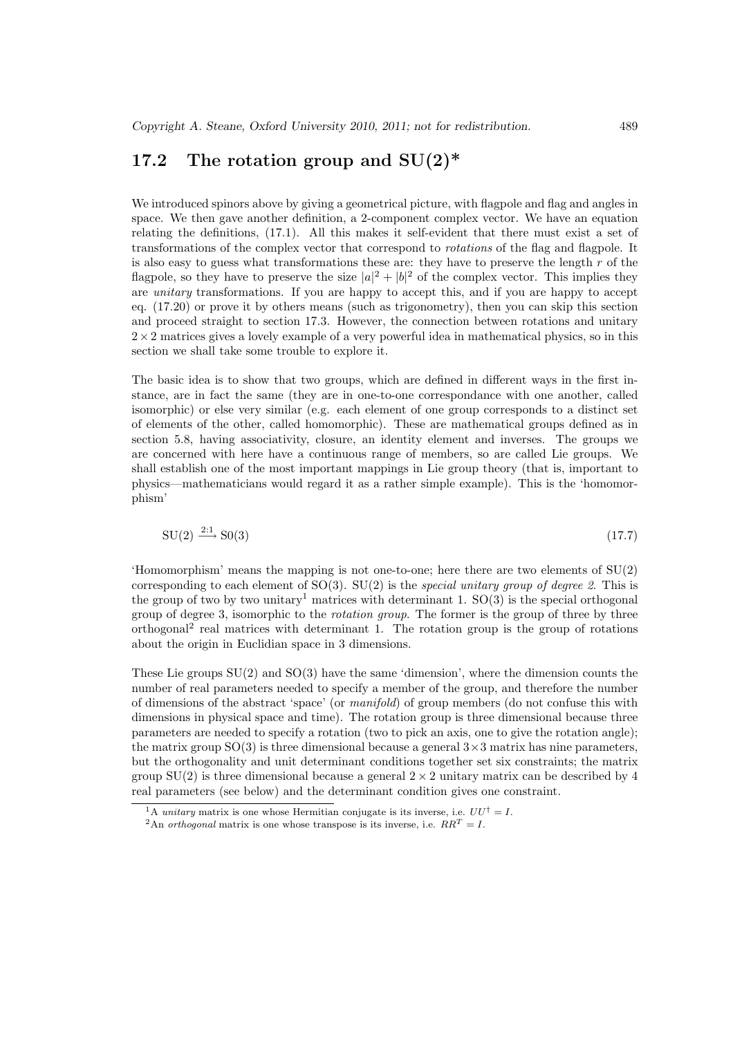## 17.2 The rotation group and  $SU(2)^*$

We introduced spinors above by giving a geometrical picture, with flagpole and flag and angles in space. We then gave another definition, a 2-component complex vector. We have an equation relating the definitions, (17.1). All this makes it self-evident that there must exist a set of transformations of the complex vector that correspond to rotations of the flag and flagpole. It is also easy to guess what transformations these are: they have to preserve the length  $r$  of the flagpole, so they have to preserve the size  $|a|^2 + |b|^2$  of the complex vector. This implies they are unitary transformations. If you are happy to accept this, and if you are happy to accept eq. (17.20) or prove it by others means (such as trigonometry), then you can skip this section and proceed straight to section 17.3. However, the connection between rotations and unitary  $2\times 2$  matrices gives a lovely example of a very powerful idea in mathematical physics, so in this section we shall take some trouble to explore it.

The basic idea is to show that two groups, which are defined in different ways in the first instance, are in fact the same (they are in one-to-one correspondance with one another, called isomorphic) or else very similar (e.g. each element of one group corresponds to a distinct set of elements of the other, called homomorphic). These are mathematical groups defined as in section 5.8, having associativity, closure, an identity element and inverses. The groups we are concerned with here have a continuous range of members, so are called Lie groups. We shall establish one of the most important mappings in Lie group theory (that is, important to physics—mathematicians would regard it as a rather simple example). This is the 'homomorphism'

$$
SU(2) \xrightarrow{2:1} SO(3) \tag{17.7}
$$

'Homomorphism' means the mapping is not one-to-one; here there are two elements of SU(2) corresponding to each element of  $SO(3)$ .  $SU(2)$  is the *special unitary group of degree 2*. This is the group of two by two unitary<sup>1</sup> matrices with determinant 1.  $SO(3)$  is the special orthogonal group of degree 3, isomorphic to the *rotation group*. The former is the group of three by three orthogonal<sup>2</sup> real matrices with determinant 1. The rotation group is the group of rotations about the origin in Euclidian space in 3 dimensions.

These Lie groups  $SU(2)$  and  $SO(3)$  have the same 'dimension', where the dimension counts the number of real parameters needed to specify a member of the group, and therefore the number of dimensions of the abstract 'space' (or manifold) of group members (do not confuse this with dimensions in physical space and time). The rotation group is three dimensional because three parameters are needed to specify a rotation (two to pick an axis, one to give the rotation angle); the matrix group  $SO(3)$  is three dimensional because a general  $3 \times 3$  matrix has nine parameters, but the orthogonality and unit determinant conditions together set six constraints; the matrix group  $SU(2)$  is three dimensional because a general  $2 \times 2$  unitary matrix can be described by 4 real parameters (see below) and the determinant condition gives one constraint.

<sup>&</sup>lt;sup>1</sup>A *unitary* matrix is one whose Hermitian conjugate is its inverse, i.e.  $UU^{\dagger} = I$ .

<sup>&</sup>lt;sup>2</sup>An *orthogonal* matrix is one whose transpose is its inverse, i.e.  $RR^T = I$ .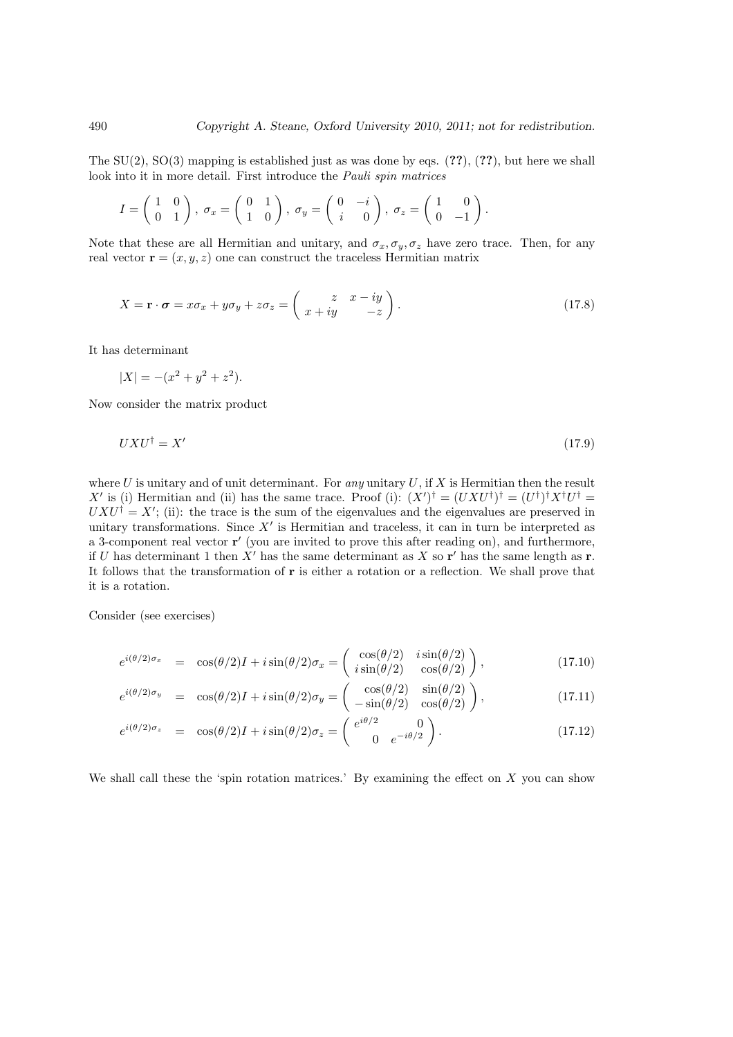The  $SU(2)$ ,  $SO(3)$  mapping is established just as was done by eqs. (??), (??), but here we shall look into it in more detail. First introduce the Pauli spin matrices

$$
I = \begin{pmatrix} 1 & 0 \\ 0 & 1 \end{pmatrix}, \ \sigma_x = \begin{pmatrix} 0 & 1 \\ 1 & 0 \end{pmatrix}, \ \sigma_y = \begin{pmatrix} 0 & -i \\ i & 0 \end{pmatrix}, \ \sigma_z = \begin{pmatrix} 1 & 0 \\ 0 & -1 \end{pmatrix}.
$$

Note that these are all Hermitian and unitary, and  $\sigma_x, \sigma_y, \sigma_z$  have zero trace. Then, for any real vector  $\mathbf{r} = (x, y, z)$  one can construct the traceless Hermitian matrix

$$
X = \mathbf{r} \cdot \boldsymbol{\sigma} = x\sigma_x + y\sigma_y + z\sigma_z = \begin{pmatrix} z & x - iy \\ x + iy & -z \end{pmatrix}.
$$
 (17.8)

It has determinant

$$
|X| = -(x^2 + y^2 + z^2).
$$

Now consider the matrix product

$$
UXU^{\dagger} = X' \tag{17.9}
$$

where U is unitary and of unit determinant. For any unitary U, if X is Hermitian then the result X' is (i) Hermitian and (ii) has the same trace. Proof (i):  $(X')^{\dagger} = (UXU^{\dagger})^{\dagger} X^{\dagger} U^{\dagger} = (U^{\dagger})^{\dagger} X^{\dagger} U^{\dagger}$  $UXU^{\dagger} = X'$ ; (ii): the trace is the sum of the eigenvalues and the eigenvalues are preserved in unitary transformations. Since  $X'$  is Hermitian and traceless, it can in turn be interpreted as a 3-component real vector r' (you are invited to prove this after reading on), and furthermore, if U has determinant 1 then X' has the same determinant as X so  $r'$  has the same length as r. It follows that the transformation of r is either a rotation or a reflection. We shall prove that it is a rotation.

Consider (see exercises)

$$
e^{i(\theta/2)\sigma_x} = \cos(\theta/2)I + i\sin(\theta/2)\sigma_x = \begin{pmatrix} \cos(\theta/2) & i\sin(\theta/2) \\ i\sin(\theta/2) & \cos(\theta/2) \end{pmatrix},
$$
(17.10)

$$
e^{i(\theta/2)\sigma_y} = \cos(\theta/2)I + i\sin(\theta/2)\sigma_y = \begin{pmatrix} \cos(\theta/2) & \sin(\theta/2) \\ -\sin(\theta/2) & \cos(\theta/2) \end{pmatrix},
$$
(17.11)

$$
e^{i(\theta/2)\sigma_z} = \cos(\theta/2)I + i\sin(\theta/2)\sigma_z = \begin{pmatrix} e^{i\theta/2} & 0\\ 0 & e^{-i\theta/2} \end{pmatrix}.
$$
 (17.12)

We shall call these the 'spin rotation matrices.' By examining the effect on  $X$  you can show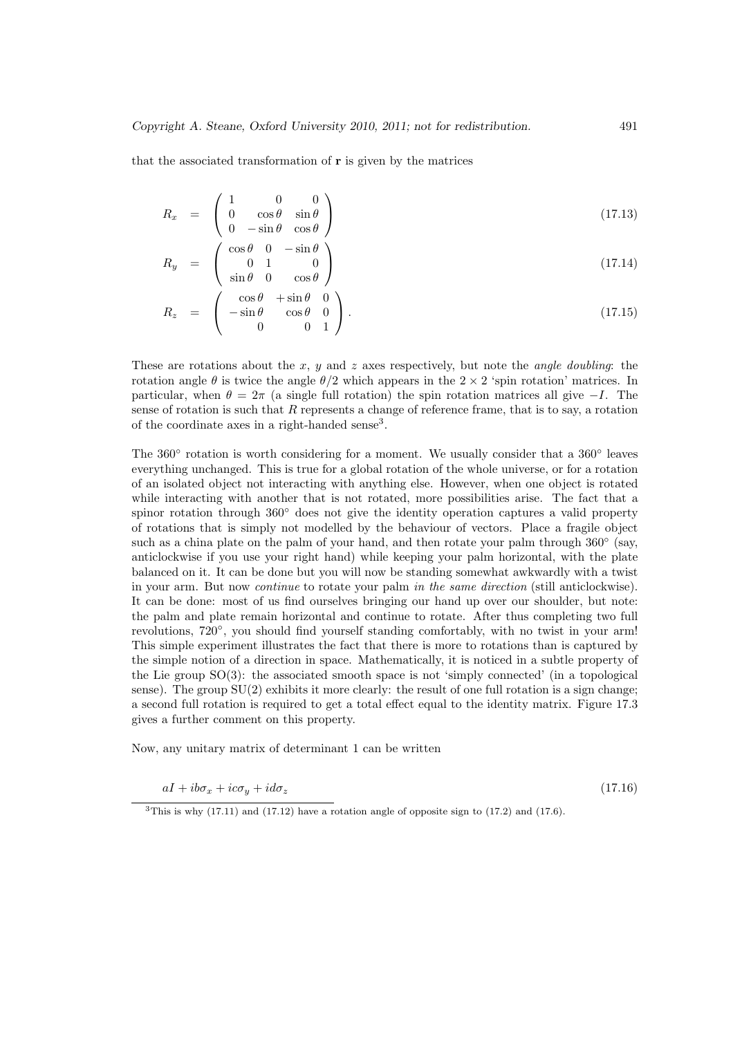that the associated transformation of r is given by the matrices

$$
R_x = \begin{pmatrix} 1 & 0 & 0 \\ 0 & \cos \theta & \sin \theta \\ 0 & -\sin \theta & \cos \theta \end{pmatrix}
$$
 (17.13)

$$
R_y = \begin{pmatrix} \cos \theta & 0 & -\sin \theta \\ 0 & 1 & 0 \\ \sin \theta & 0 & \cos \theta \end{pmatrix}
$$
 (17.14)

$$
R_z = \begin{pmatrix} \cos \theta & +\sin \theta & 0 \\ -\sin \theta & \cos \theta & 0 \\ 0 & 0 & 1 \end{pmatrix}.
$$
 (17.15)

These are rotations about the x, y and z axes respectively, but note the *angle doubling*: the rotation angle  $\theta$  is twice the angle  $\theta/2$  which appears in the  $2 \times 2$  'spin rotation' matrices. In particular, when  $\theta = 2\pi$  (a single full rotation) the spin rotation matrices all give  $-I$ . The sense of rotation is such that  $R$  represents a change of reference frame, that is to say, a rotation of the coordinate axes in a right-handed sense<sup>3</sup>.

The  $360°$  rotation is worth considering for a moment. We usually consider that a  $360°$  leaves everything unchanged. This is true for a global rotation of the whole universe, or for a rotation of an isolated object not interacting with anything else. However, when one object is rotated while interacting with another that is not rotated, more possibilities arise. The fact that a spinor rotation through 360° does not give the identity operation captures a valid property of rotations that is simply not modelled by the behaviour of vectors. Place a fragile object such as a china plate on the palm of your hand, and then rotate your palm through  $360°$  (say, anticlockwise if you use your right hand) while keeping your palm horizontal, with the plate balanced on it. It can be done but you will now be standing somewhat awkwardly with a twist in your arm. But now continue to rotate your palm in the same direction (still anticlockwise). It can be done: most of us find ourselves bringing our hand up over our shoulder, but note: the palm and plate remain horizontal and continue to rotate. After thus completing two full revolutions, 720°, you should find yourself standing comfortably, with no twist in your arm! This simple experiment illustrates the fact that there is more to rotations than is captured by the simple notion of a direction in space. Mathematically, it is noticed in a subtle property of the Lie group SO(3): the associated smooth space is not 'simply connected' (in a topological sense). The group  $SU(2)$  exhibits it more clearly: the result of one full rotation is a sign change; a second full rotation is required to get a total effect equal to the identity matrix. Figure 17.3 gives a further comment on this property.

Now, any unitary matrix of determinant 1 can be written

$$
aI + ib\sigma_x + ic\sigma_y + id\sigma_z \tag{17.16}
$$

 $3$ This is why (17.11) and (17.12) have a rotation angle of opposite sign to (17.2) and (17.6).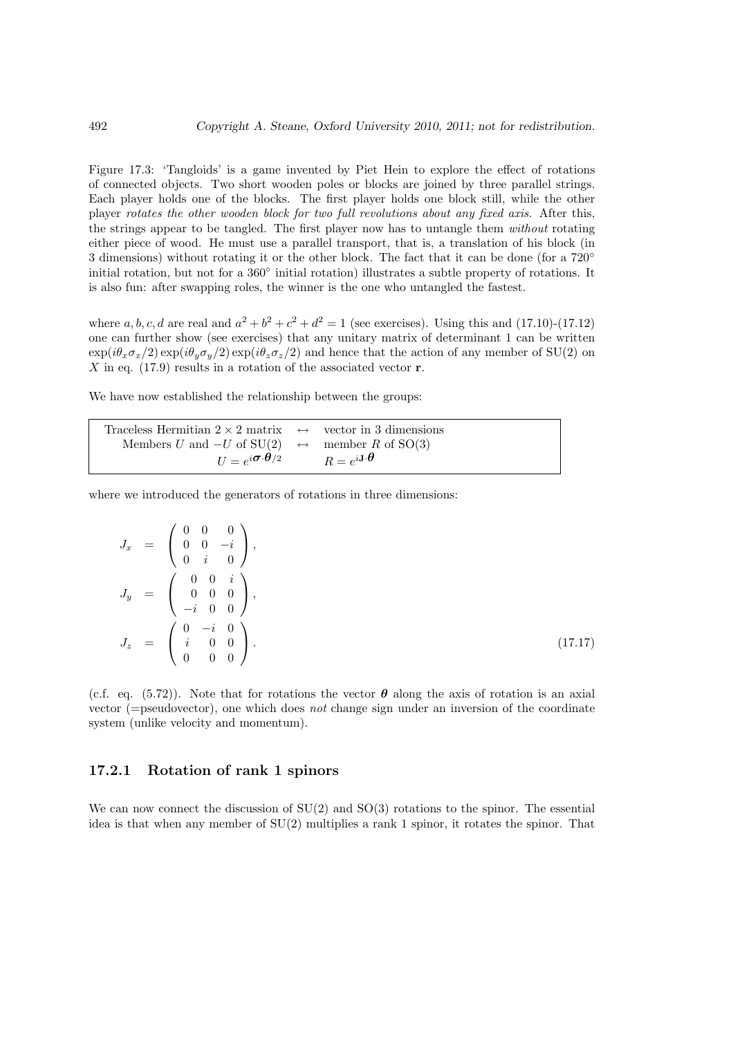Figure 17.3: 'Tangloids' is a game invented by Piet Hein to explore the effect of rotations of connected objects. Two short wooden poles or blocks are joined by three parallel strings. Each player holds one of the blocks. The first player holds one block still, while the other player rotates the other wooden block for two full revolutions about any fixed axis. After this, the strings appear to be tangled. The first player now has to untangle them without rotating either piece of wood. He must use a parallel transport, that is, a translation of his block (in 3 dimensions) without rotating it or the other block. The fact that it can be done (for a 720° initial rotation, but not for a 360° initial rotation) illustrates a subtle property of rotations. It is also fun: after swapping roles, the winner is the one who untangled the fastest.

where a, b, c, d are real and  $a^2 + b^2 + c^2 + d^2 = 1$  (see exercises). Using this and (17.10)-(17.12) one can further show (see exercises) that any unitary matrix of determinant 1 can be written  $\exp(i\theta_x\sigma_x/2)\exp(i\theta_y\sigma_y/2)\exp(i\theta_z\sigma_z/2)$  and hence that the action of any member of SU(2) on  $X$  in eq. (17.9) results in a rotation of the associated vector  $r$ .

We have now established the relationship between the groups:

| Traceless Hermitian $2 \times 2$ matrix $\leftrightarrow$ vector in 3 dimensions                       |  |
|--------------------------------------------------------------------------------------------------------|--|
| Members U and $-U$ of $SU(2) \leftrightarrow$ member R of $SO(3)$                                      |  |
| $U = e^{i\boldsymbol{\sigma}\cdot\boldsymbol{\theta}/2}$ $R = e^{i\mathbf{J}\cdot\boldsymbol{\theta}}$ |  |

where we introduced the generators of rotations in three dimensions:

$$
J_x = \begin{pmatrix} 0 & 0 & 0 \\ 0 & 0 & -i \\ 0 & i & 0 \end{pmatrix},
$$
  
\n
$$
J_y = \begin{pmatrix} 0 & 0 & i \\ 0 & 0 & 0 \\ -i & 0 & 0 \\ -i & 0 & 0 \end{pmatrix},
$$
  
\n
$$
J_z = \begin{pmatrix} 0 & -i & 0 \\ i & 0 & 0 \\ 0 & 0 & 0 \end{pmatrix}.
$$
\n(17.17)

(c.f. eq. (5.72)). Note that for rotations the vector  $\theta$  along the axis of rotation is an axial vector (=pseudovector), one which does not change sign under an inversion of the coordinate system (unlike velocity and momentum).

#### 17.2.1 Rotation of rank 1 spinors

We can now connect the discussion of  $SU(2)$  and  $SO(3)$  rotations to the spinor. The essential idea is that when any member of SU(2) multiplies a rank 1 spinor, it rotates the spinor. That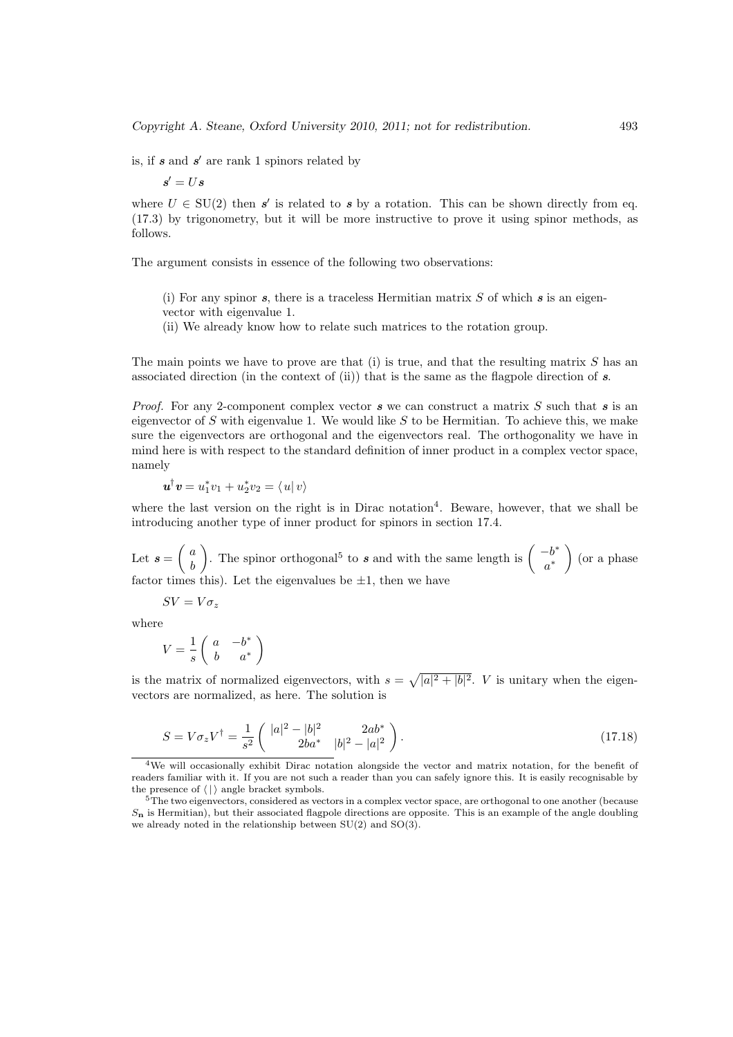is, if  $s$  and  $s'$  are rank 1 spinors related by

$$
s' = U s
$$

where  $U \in SU(2)$  then s' is related to s by a rotation. This can be shown directly from eq. (17.3) by trigonometry, but it will be more instructive to prove it using spinor methods, as follows.

The argument consists in essence of the following two observations:

(i) For any spinor  $s$ , there is a traceless Hermitian matrix  $S$  of which  $s$  is an eigenvector with eigenvalue 1.

(ii) We already know how to relate such matrices to the rotation group.

The main points we have to prove are that (i) is true, and that the resulting matrix  $S$  has an associated direction (in the context of (ii)) that is the same as the flagpole direction of  $s$ .

*Proof.* For any 2-component complex vector  $s$  we can construct a matrix  $S$  such that  $s$  is an eigenvector of  $S$  with eigenvalue 1. We would like  $S$  to be Hermitian. To achieve this, we make sure the eigenvectors are orthogonal and the eigenvectors real. The orthogonality we have in mind here is with respect to the standard definition of inner product in a complex vector space, namely

 $u^{\dagger}v = u_1^*v_1 + u_2^*v_2 = \langle u | v \rangle$ 

where the last version on the right is in Dirac notation<sup>4</sup>. Beware, however, that we shall be introducing another type of inner product for spinors in section 17.4.

Let  $s =$  $\int a$ b  $\mathbf{r}$ The spinor orthogonal<sup>5</sup> to s and with the same length is  $\begin{pmatrix} -b^* \\ -b^* \end{pmatrix}$ a ∗  $\mathbf{r}$ (or a phase factor times this). Let the eigenvalues be  $\pm 1$ , then we have

 $SV = V\sigma_z$ 

where

$$
V = \frac{1}{s} \begin{pmatrix} a & -b^* \\ b & a^* \end{pmatrix}
$$

is the matrix of normalized eigenvectors, with  $s =$ p  $|a|^2 + |b|^2$ . *V* is unitary when the eigenvectors are normalized, as here. The solution is

$$
S = V\sigma_z V^{\dagger} = \frac{1}{s^2} \begin{pmatrix} |a|^2 - |b|^2 & 2ab^* \\ 2ba^* & |b|^2 - |a|^2 \end{pmatrix}.
$$
 (17.18)

<sup>4</sup>We will occasionally exhibit Dirac notation alongside the vector and matrix notation, for the benefit of readers familiar with it. If you are not such a reader than you can safely ignore this. It is easily recognisable by the presence of  $\langle \cdot | \cdot \rangle$  angle bracket symbols.

<sup>&</sup>lt;sup>5</sup>The two eigenvectors, considered as vectors in a complex vector space, are orthogonal to one another (because  $S_n$  is Hermitian), but their associated flagpole directions are opposite. This is an example of the angle doubling we already noted in the relationship between SU(2) and SO(3).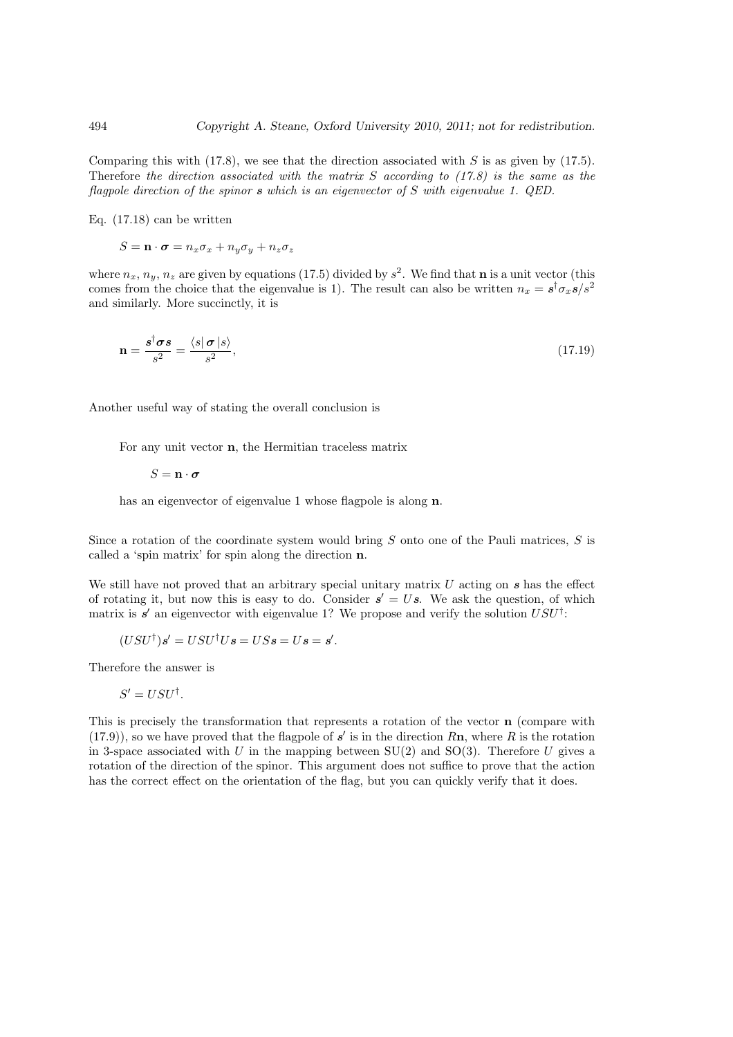Comparing this with (17.8), we see that the direction associated with  $S$  is as given by (17.5). Therefore the direction associated with the matrix  $S$  according to  $(17.8)$  is the same as the flagpole direction of the spinor s which is an eigenvector of S with eigenvalue 1. QED.

Eq. (17.18) can be written

$$
S = \mathbf{n} \cdot \boldsymbol{\sigma} = n_x \sigma_x + n_y \sigma_y + n_z \sigma_z
$$

where  $n_x, n_y, n_z$  are given by equations (17.5) divided by  $s^2$ . We find that **n** is a unit vector (this comes from the choice that the eigenvalue is 1). The result can also be written  $n_x = s^{\dagger} \sigma_x s/s^2$ and similarly. More succinctly, it is

$$
\mathbf{n} = \frac{s^{\dagger} \sigma s}{s^2} = \frac{\langle s | \sigma | s \rangle}{s^2},\tag{17.19}
$$

Another useful way of stating the overall conclusion is

For any unit vector n, the Hermitian traceless matrix

 $S = \mathbf{n} \cdot \boldsymbol{\sigma}$ 

has an eigenvector of eigenvalue 1 whose flagpole is along  $n$ .

Since a rotation of the coordinate system would bring S onto one of the Pauli matrices, S is called a 'spin matrix' for spin along the direction n.

We still have not proved that an arbitrary special unitary matrix  $U$  acting on  $s$  has the effect of rotating it, but now this is easy to do. Consider  $s' = Us$ . We ask the question, of which matrix is  $s'$  an eigenvector with eigenvalue 1? We propose and verify the solution  $USU^{\dagger}$ :

$$
(USU^{\dagger})s' = USU^{\dagger}Us = USs = Us = s'.
$$

Therefore the answer is

$$
S' = USU^{\dagger}.
$$

This is precisely the transformation that represents a rotation of the vector n (compare with  $(17.9)$ , so we have proved that the flagpole of s' is in the direction  $Rn$ , where R is the rotation in 3-space associated with U in the mapping between  $SU(2)$  and  $SO(3)$ . Therefore U gives a rotation of the direction of the spinor. This argument does not suffice to prove that the action has the correct effect on the orientation of the flag, but you can quickly verify that it does.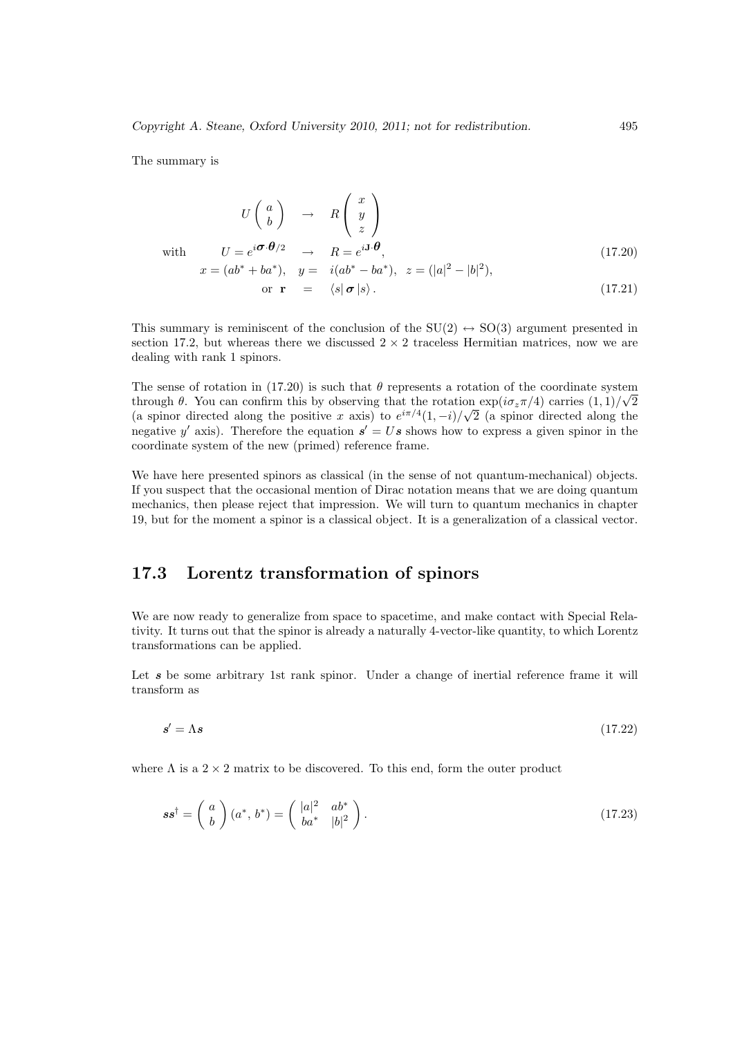The summary is

$$
U\begin{pmatrix} a \\ b \end{pmatrix} \rightarrow R \begin{pmatrix} x \\ y \\ z \end{pmatrix}
$$
  
with 
$$
U = e^{i\boldsymbol{\sigma} \cdot \boldsymbol{\theta}/2} \rightarrow R = e^{i\mathbf{J} \cdot \boldsymbol{\theta}},
$$

$$
x = (ab^* + ba^*), y = i(ab^* - ba^*), z = (|a|^2 - |b|^2),
$$
(17.20)

$$
\text{or } \mathbf{r} = \langle s | \boldsymbol{\sigma} | s \rangle. \tag{17.21}
$$

This summary is reminiscent of the conclusion of the  $SU(2) \leftrightarrow SO(3)$  argument presented in section 17.2, but whereas there we discussed  $2 \times 2$  traceless Hermitian matrices, now we are dealing with rank 1 spinors.

The sense of rotation in (17.20) is such that  $\theta$  represents a rotation of the coordinate system through  $\theta$ . You can confirm this by observing that the rotation  $\exp(i\sigma_z\pi/4)$  carries  $(1,1)/\sqrt{2}$ (a spinor directed along the positive x axis) to  $e^{i\pi/4}(1,-i)/\sqrt{2}$  (a spinor directed along the negative y' axis). Therefore the equation  $s' = Us$  shows how to express a given spinor in the coordinate system of the new (primed) reference frame.

We have here presented spinors as classical (in the sense of not quantum-mechanical) objects. If you suspect that the occasional mention of Dirac notation means that we are doing quantum mechanics, then please reject that impression. We will turn to quantum mechanics in chapter 19, but for the moment a spinor is a classical object. It is a generalization of a classical vector.

## 17.3 Lorentz transformation of spinors

We are now ready to generalize from space to spacetime, and make contact with Special Relativity. It turns out that the spinor is already a naturally 4-vector-like quantity, to which Lorentz transformations can be applied.

Let  $s$  be some arbitrary 1st rank spinor. Under a change of inertial reference frame it will transform as

$$
s' = \Lambda s \tag{17.22}
$$

where  $\Lambda$  is a  $2 \times 2$  matrix to be discovered. To this end, form the outer product

$$
ss^{\dagger} = \begin{pmatrix} a \\ b \end{pmatrix} (a^*, b^*) = \begin{pmatrix} |a|^2 & ab^* \\ ba^* & |b|^2 \end{pmatrix}.
$$
 (17.23)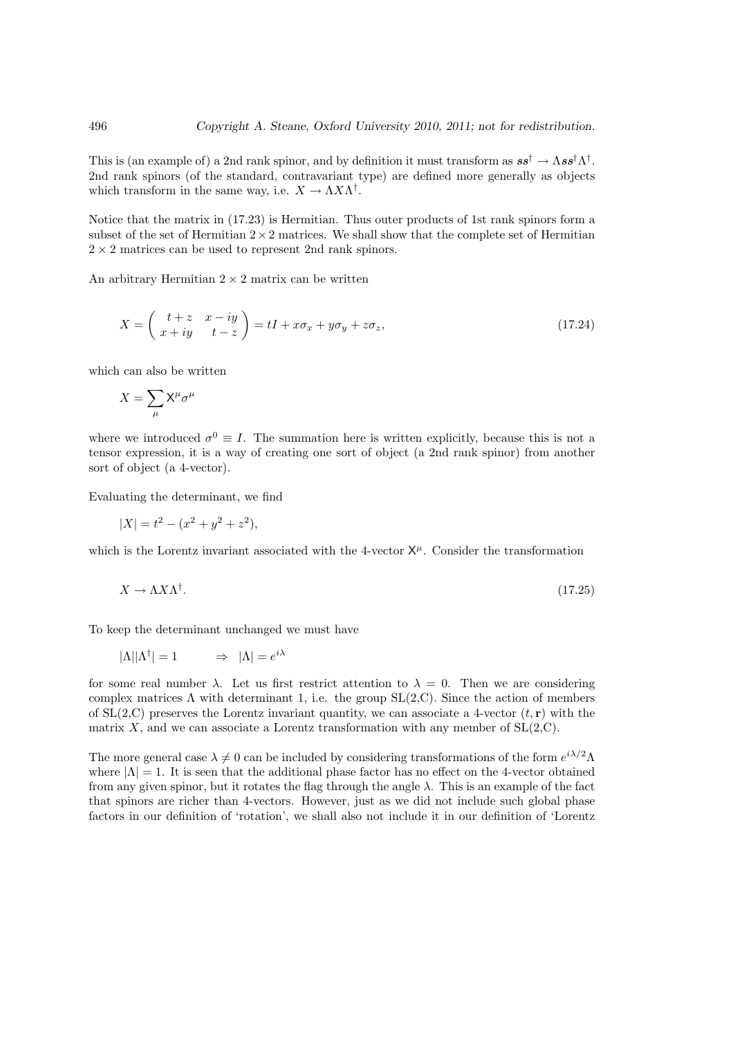This is (an example of) a 2nd rank spinor, and by definition it must transform as  $ss^{\dagger} \to \Lambda ss^{\dagger} \Lambda^{\dagger}$ . 2nd rank spinors (of the standard, contravariant type) are defined more generally as objects which transform in the same way, i.e.  $X \to \Lambda X \Lambda^{\dagger}$ .

Notice that the matrix in (17.23) is Hermitian. Thus outer products of 1st rank spinors form a subset of the set of Hermitian  $2 \times 2$  matrices. We shall show that the complete set of Hermitian  $2 \times 2$  matrices can be used to represent 2nd rank spinors.

An arbitrary Hermitian  $2 \times 2$  matrix can be written

$$
X = \begin{pmatrix} t+z & x-iy \\ x+iy & t-z \end{pmatrix} = tI + x\sigma_x + y\sigma_y + z\sigma_z,
$$
\n(17.24)

which can also be written

$$
X = \sum_{\mu} \mathsf{X}^{\mu} \sigma^{\mu}
$$

where we introduced  $\sigma^0 \equiv I$ . The summation here is written explicitly, because this is not a tensor expression, it is a way of creating one sort of object (a 2nd rank spinor) from another sort of object (a 4-vector).

Evaluating the determinant, we find

$$
|X| = t^2 - (x^2 + y^2 + z^2),
$$

which is the Lorentz invariant associated with the 4-vector  $X^{\mu}$ . Consider the transformation

$$
X \to \Lambda X \Lambda^{\dagger}.
$$
\n<sup>(17.25)</sup>

To keep the determinant unchanged we must have

$$
|\Lambda||\Lambda^{\dagger}| = 1 \qquad \Rightarrow \ |\Lambda| = e^{i\lambda}
$$

for some real number  $\lambda$ . Let us first restrict attention to  $\lambda = 0$ . Then we are considering complex matrices  $\Lambda$  with determinant 1, i.e. the group  $SL(2,C)$ . Since the action of members of  $SL(2, \mathbb{C})$  preserves the Lorentz invariant quantity, we can associate a 4-vector  $(t, r)$  with the matrix X, and we can associate a Lorentz transformation with any member of  $SL(2, \mathbb{C})$ .

The more general case  $\lambda \neq 0$  can be included by considering transformations of the form  $e^{i\lambda/2}\Lambda$ where  $|\Lambda| = 1$ . It is seen that the additional phase factor has no effect on the 4-vector obtained from any given spinor, but it rotates the flag through the angle  $\lambda$ . This is an example of the fact that spinors are richer than 4-vectors. However, just as we did not include such global phase factors in our definition of 'rotation', we shall also not include it in our definition of 'Lorentz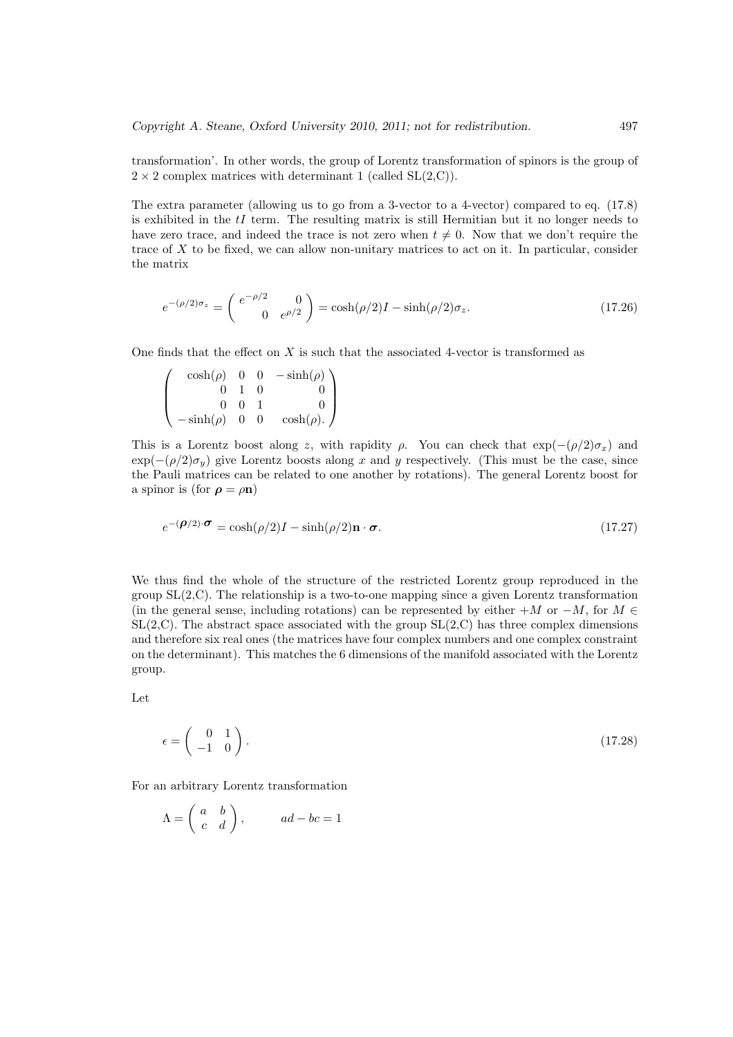transformation'. In other words, the group of Lorentz transformation of spinors is the group of  $2 \times 2$  complex matrices with determinant 1 (called SL(2,C)).

The extra parameter (allowing us to go from a 3-vector to a 4-vector) compared to eq. (17.8) is exhibited in the  $tI$  term. The resulting matrix is still Hermitian but it no longer needs to have zero trace, and indeed the trace is not zero when  $t \neq 0$ . Now that we don't require the trace of  $X$  to be fixed, we can allow non-unitary matrices to act on it. In particular, consider the matrix

$$
e^{-(\rho/2)\sigma_z} = \begin{pmatrix} e^{-\rho/2} & 0\\ 0 & e^{\rho/2} \end{pmatrix} = \cosh(\rho/2)I - \sinh(\rho/2)\sigma_z.
$$
 (17.26)

One finds that the effect on  $X$  is such that the associated 4-vector is transformed as

 $\overline{\phantom{a}}$  $\vert$  $cosh(\rho)$  0 0  $-sinh(\rho)$  $0 \quad 1 \quad 0 \qquad \qquad 0$  $0 \quad 0 \quad 1$  0  $-\sinh(\rho)$  0 0  $\cosh(\rho)$ .  $\mathbf{r}$  $\Big\}$ 

This is a Lorentz boost along z, with rapidity  $\rho$ . You can check that  $\exp(-(p/2)\sigma_x)$  and  $\exp(-(\rho/2)\sigma_{y})$  give Lorentz boosts along x and y respectively. (This must be the case, since the Pauli matrices can be related to one another by rotations). The general Lorentz boost for a spinor is (for  $\rho = \rho n$ )

$$
e^{-(\boldsymbol{\rho}/2)\cdot\boldsymbol{\sigma}} = \cosh(\rho/2)I - \sinh(\rho/2)\mathbf{n}\cdot\boldsymbol{\sigma}.\tag{17.27}
$$

We thus find the whole of the structure of the restricted Lorentz group reproduced in the group  $SL(2, \mathbb{C})$ . The relationship is a two-to-one mapping since a given Lorentz transformation (in the general sense, including rotations) can be represented by either  $+M$  or  $-M$ , for  $M \in$  $SL(2, \mathbb{C})$ . The abstract space associated with the group  $SL(2, \mathbb{C})$  has three complex dimensions and therefore six real ones (the matrices have four complex numbers and one complex constraint on the determinant). This matches the 6 dimensions of the manifold associated with the Lorentz group.

Let

$$
\epsilon = \begin{pmatrix} 0 & 1 \\ -1 & 0 \end{pmatrix}.
$$
\n(17.28)

For an arbitrary Lorentz transformation

$$
\Lambda = \begin{pmatrix} a & b \\ c & d \end{pmatrix}, \quad ad - bc = 1
$$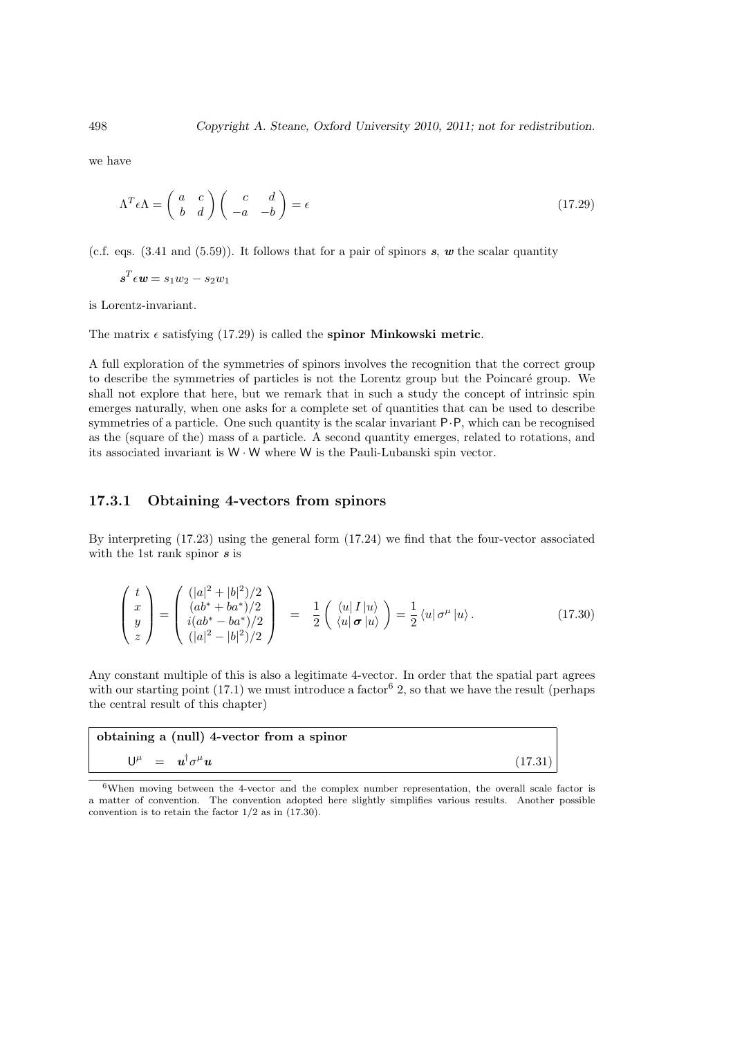we have

$$
\Lambda^T \epsilon \Lambda = \begin{pmatrix} a & c \\ b & d \end{pmatrix} \begin{pmatrix} c & d \\ -a & -b \end{pmatrix} = \epsilon
$$
 (17.29)

(c.f. eqs. (3.41 and (5.59)). It follows that for a pair of spinors s, w the scalar quantity

$$
\boldsymbol{s}^T \epsilon \boldsymbol{w} = s_1 w_2 - s_2 w_1
$$

is Lorentz-invariant.

The matrix  $\epsilon$  satisfying (17.29) is called the spinor Minkowski metric.

A full exploration of the symmetries of spinors involves the recognition that the correct group to describe the symmetries of particles is not the Lorentz group but the Poincaré group. We shall not explore that here, but we remark that in such a study the concept of intrinsic spin emerges naturally, when one asks for a complete set of quantities that can be used to describe symmetries of a particle. One such quantity is the scalar invariant P·P, which can be recognised as the (square of the) mass of a particle. A second quantity emerges, related to rotations, and its associated invariant is W · W where W is the Pauli-Lubanski spin vector.

#### 17.3.1 Obtaining 4-vectors from spinors

By interpreting (17.23) using the general form (17.24) we find that the four-vector associated with the 1st rank spinor  $s$  is

$$
\begin{pmatrix} t \\ x \\ y \\ z \end{pmatrix} = \begin{pmatrix} (|a|^2 + |b|^2)/2 \\ (ab^* + ba^*)/2 \\ i(ab^* - ba^*)/2 \\ (|a|^2 - |b|^2)/2 \end{pmatrix} = \frac{1}{2} \begin{pmatrix} \langle u|I|u \rangle \\ \langle u| \boldsymbol{\sigma} |u \rangle \end{pmatrix} = \frac{1}{2} \langle u| \boldsymbol{\sigma}^{\mu} |u \rangle. \tag{17.30}
$$

Any constant multiple of this is also a legitimate 4-vector. In order that the spatial part agrees with our starting point  $(17.1)$  we must introduce a factor  $6\,2$ , so that we have the result (perhaps the central result of this chapter)

| obtaining a (null) 4-vector from a spinor |         |
|-------------------------------------------|---------|
| $U^{\mu} = u^{\dagger} \sigma^{\mu} u$    | (17.31) |

<sup>&</sup>lt;sup>6</sup>When moving between the 4-vector and the complex number representation, the overall scale factor is a matter of convention. The convention adopted here slightly simplifies various results. Another possible convention is to retain the factor  $1/2$  as in  $(17.30)$ .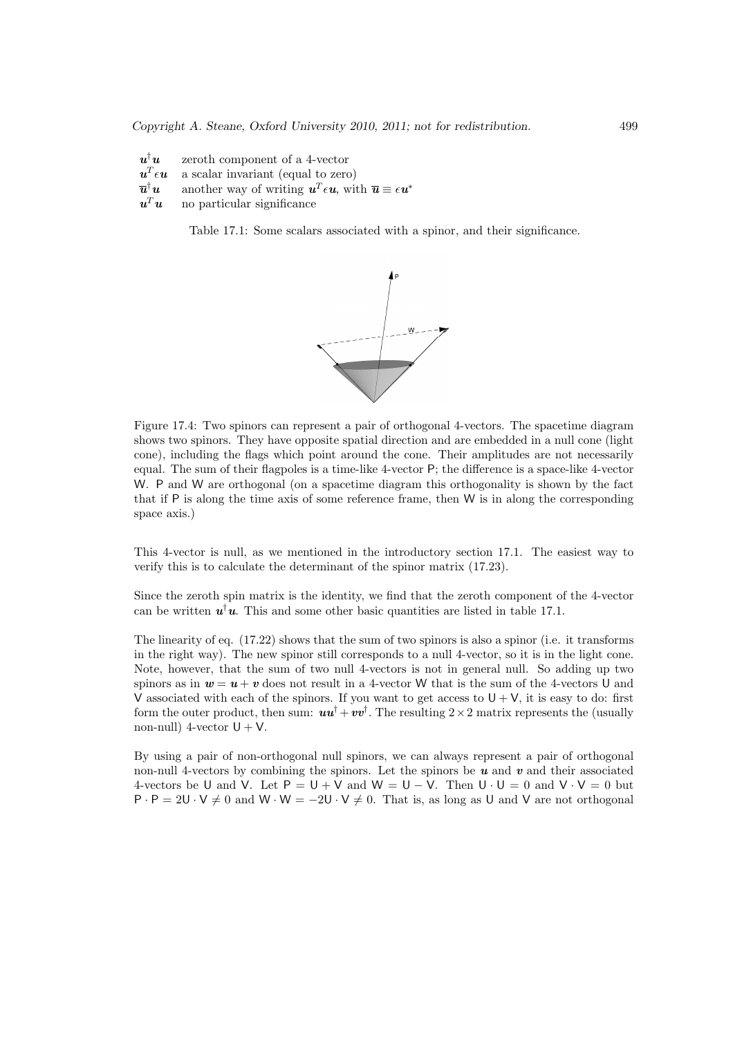$u^{\dagger}u$ zeroth component of a 4-vector  $\pmb{u}^T$ a scalar invariant (equal to zero)  $\overline{u}^{\dagger}u$ <sup>†</sup>u another way of writing  $u^T \epsilon u$ , with  $\overline{u} \equiv \epsilon u^*$  $u^T u$ no particular significance

Table 17.1: Some scalars associated with a spinor, and their significance.



Figure 17.4: Two spinors can represent a pair of orthogonal 4-vectors. The spacetime diagram shows two spinors. They have opposite spatial direction and are embedded in a null cone (light cone), including the flags which point around the cone. Their amplitudes are not necessarily equal. The sum of their flagpoles is a time-like 4-vector P; the difference is a space-like 4-vector W. P and W are orthogonal (on a spacetime diagram this orthogonality is shown by the fact that if P is along the time axis of some reference frame, then W is in along the corresponding space axis.)

This 4-vector is null, as we mentioned in the introductory section 17.1. The easiest way to verify this is to calculate the determinant of the spinor matrix (17.23).

Since the zeroth spin matrix is the identity, we find that the zeroth component of the 4-vector can be written  $u^{\dagger}u$ . This and some other basic quantities are listed in table 17.1.

The linearity of eq. (17.22) shows that the sum of two spinors is also a spinor (i.e. it transforms in the right way). The new spinor still corresponds to a null 4-vector, so it is in the light cone. Note, however, that the sum of two null 4-vectors is not in general null. So adding up two spinors as in  $w = u + v$  does not result in a 4-vector W that is the sum of the 4-vectors U and V associated with each of the spinors. If you want to get access to  $U + V$ , it is easy to do: first form the outer product, then sum:  $uu^{\dagger} + vv^{\dagger}$ . The resulting  $2 \times 2$  matrix represents the (usually non-null) 4-vector  $U + V$ .

By using a pair of non-orthogonal null spinors, we can always represent a pair of orthogonal non-null 4-vectors by combining the spinors. Let the spinors be  $u$  and  $v$  and their associated 4-vectors be U and V. Let  $P = U + V$  and  $W = U - V$ . Then  $U \cdot U = 0$  and  $V \cdot V = 0$  but  $P \cdot P = 2U \cdot V \neq 0$  and  $W \cdot W = -2U \cdot V \neq 0$ . That is, as long as U and V are not orthogonal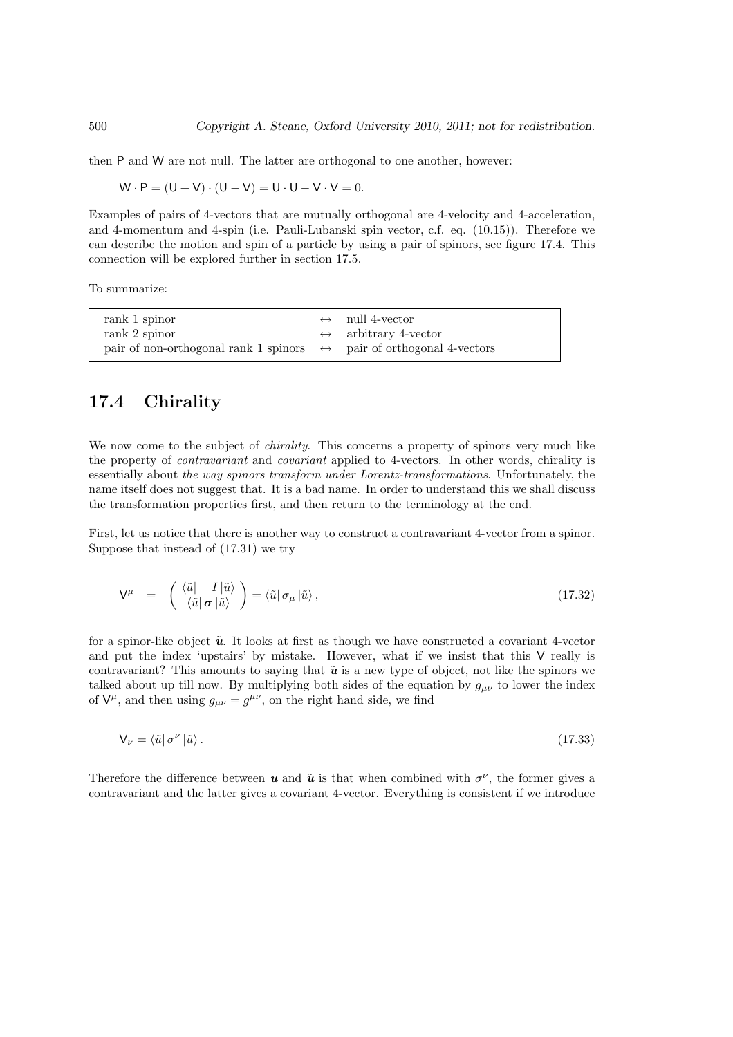then P and W are not null. The latter are orthogonal to one another, however:

$$
W \cdot P = (U + V) \cdot (U - V) = U \cdot U - V \cdot V = 0.
$$

Examples of pairs of 4-vectors that are mutually orthogonal are 4-velocity and 4-acceleration, and 4-momentum and 4-spin (i.e. Pauli-Lubanski spin vector, c.f. eq. (10.15)). Therefore we can describe the motion and spin of a particle by using a pair of spinors, see figure 17.4. This connection will be explored further in section 17.5.

To summarize:

| rank 1 spinor                                                                        | $\leftrightarrow$ null 4-vector      |
|--------------------------------------------------------------------------------------|--------------------------------------|
| rank 2 spinor                                                                        | $\leftrightarrow$ arbitrary 4-vector |
| pair of non-orthogonal rank 1 spinors $\leftrightarrow$ pair of orthogonal 4-vectors |                                      |

## 17.4 Chirality

We now come to the subject of *chirality*. This concerns a property of spinors very much like the property of contravariant and covariant applied to 4-vectors. In other words, chirality is essentially about the way spinors transform under Lorentz-transformations. Unfortunately, the name itself does not suggest that. It is a bad name. In order to understand this we shall discuss the transformation properties first, and then return to the terminology at the end.

First, let us notice that there is another way to construct a contravariant 4-vector from a spinor. Suppose that instead of (17.31) we try

$$
\mathsf{V}^{\mu} = \begin{pmatrix} \langle \tilde{u} | -I | \tilde{u} \rangle \\ \langle \tilde{u} | \boldsymbol{\sigma} | \tilde{u} \rangle \end{pmatrix} = \langle \tilde{u} | \sigma_{\mu} | \tilde{u} \rangle, \qquad (17.32)
$$

for a spinor-like object  $\tilde{u}$ . It looks at first as though we have constructed a covariant 4-vector and put the index 'upstairs' by mistake. However, what if we insist that this V really is contravariant? This amounts to saying that  $\tilde{u}$  is a new type of object, not like the spinors we talked about up till now. By multiplying both sides of the equation by  $g_{\mu\nu}$  to lower the index of  $V^{\mu}$ , and then using  $g_{\mu\nu} = g^{\mu\nu}$ , on the right hand side, we find

$$
\mathsf{V}_{\nu} = \langle \tilde{u} | \sigma^{\nu} | \tilde{u} \rangle. \tag{17.33}
$$

Therefore the difference between **u** and  $\tilde{u}$  is that when combined with  $\sigma^{\nu}$ , the former gives a contravariant and the latter gives a covariant 4-vector. Everything is consistent if we introduce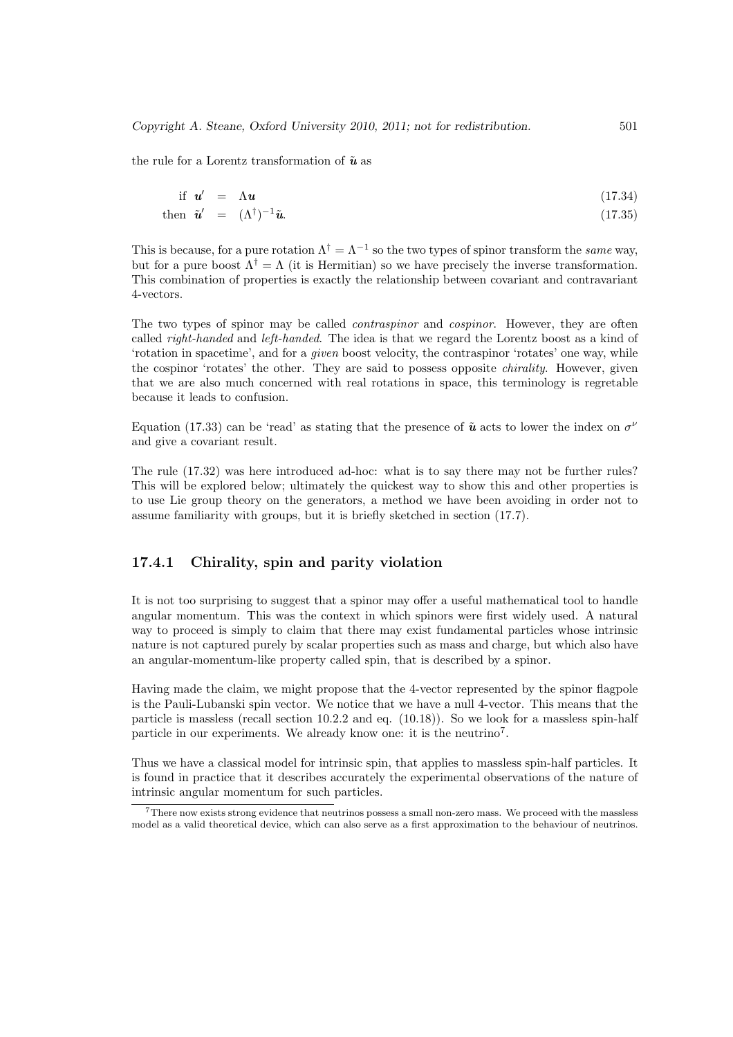the rule for a Lorentz transformation of  $\tilde{u}$  as

$$
\text{if } \mathbf{u}' = \Lambda \mathbf{u} \tag{17.34}
$$

then 
$$
\tilde{\mathbf{u}}' = (\Lambda^{\dagger})^{-1} \tilde{\mathbf{u}}.
$$
 (17.35)

This is because, for a pure rotation  $\Lambda^{\dagger} = \Lambda^{-1}$  so the two types of spinor transform the same way, but for a pure boost  $\Lambda^{\dagger} = \Lambda$  (it is Hermitian) so we have precisely the inverse transformation. This combination of properties is exactly the relationship between covariant and contravariant 4-vectors.

The two types of spinor may be called *contraspinor* and *cospinor*. However, they are often called *right-handed* and *left-handed*. The idea is that we regard the Lorentz boost as a kind of 'rotation in spacetime', and for a given boost velocity, the contraspinor 'rotates' one way, while the cospinor 'rotates' the other. They are said to possess opposite *chirality*. However, given that we are also much concerned with real rotations in space, this terminology is regretable because it leads to confusion.

Equation (17.33) can be 'read' as stating that the presence of  $\tilde{u}$  acts to lower the index on  $\sigma^{\nu}$ and give a covariant result.

The rule (17.32) was here introduced ad-hoc: what is to say there may not be further rules? This will be explored below; ultimately the quickest way to show this and other properties is to use Lie group theory on the generators, a method we have been avoiding in order not to assume familiarity with groups, but it is briefly sketched in section (17.7).

#### 17.4.1 Chirality, spin and parity violation

It is not too surprising to suggest that a spinor may offer a useful mathematical tool to handle angular momentum. This was the context in which spinors were first widely used. A natural way to proceed is simply to claim that there may exist fundamental particles whose intrinsic nature is not captured purely by scalar properties such as mass and charge, but which also have an angular-momentum-like property called spin, that is described by a spinor.

Having made the claim, we might propose that the 4-vector represented by the spinor flagpole is the Pauli-Lubanski spin vector. We notice that we have a null 4-vector. This means that the particle is massless (recall section 10.2.2 and eq. (10.18)). So we look for a massless spin-half particle in our experiments. We already know one: it is the neutrino<sup>7</sup>.

Thus we have a classical model for intrinsic spin, that applies to massless spin-half particles. It is found in practice that it describes accurately the experimental observations of the nature of intrinsic angular momentum for such particles.

<sup>7</sup>There now exists strong evidence that neutrinos possess a small non-zero mass. We proceed with the massless model as a valid theoretical device, which can also serve as a first approximation to the behaviour of neutrinos.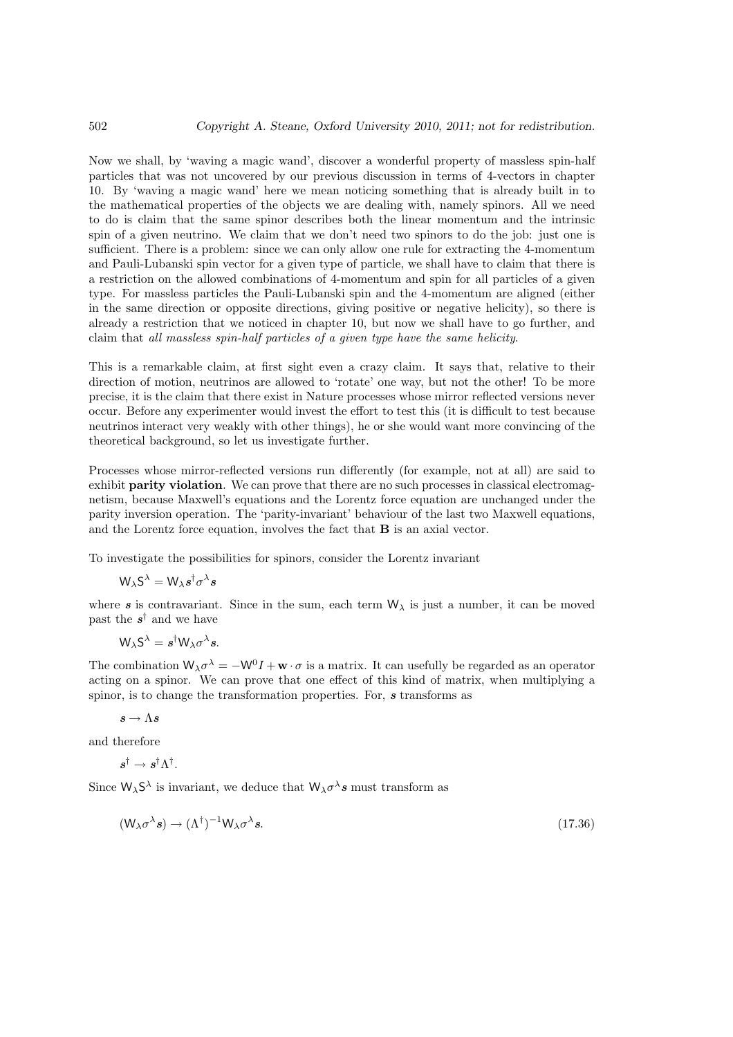Now we shall, by 'waving a magic wand', discover a wonderful property of massless spin-half particles that was not uncovered by our previous discussion in terms of 4-vectors in chapter 10. By 'waving a magic wand' here we mean noticing something that is already built in to the mathematical properties of the objects we are dealing with, namely spinors. All we need to do is claim that the same spinor describes both the linear momentum and the intrinsic spin of a given neutrino. We claim that we don't need two spinors to do the job: just one is sufficient. There is a problem: since we can only allow one rule for extracting the 4-momentum and Pauli-Lubanski spin vector for a given type of particle, we shall have to claim that there is a restriction on the allowed combinations of 4-momentum and spin for all particles of a given type. For massless particles the Pauli-Lubanski spin and the 4-momentum are aligned (either in the same direction or opposite directions, giving positive or negative helicity), so there is already a restriction that we noticed in chapter 10, but now we shall have to go further, and claim that all massless spin-half particles of a given type have the same helicity.

This is a remarkable claim, at first sight even a crazy claim. It says that, relative to their direction of motion, neutrinos are allowed to 'rotate' one way, but not the other! To be more precise, it is the claim that there exist in Nature processes whose mirror reflected versions never occur. Before any experimenter would invest the effort to test this (it is difficult to test because neutrinos interact very weakly with other things), he or she would want more convincing of the theoretical background, so let us investigate further.

Processes whose mirror-reflected versions run differently (for example, not at all) are said to exhibit parity violation. We can prove that there are no such processes in classical electromagnetism, because Maxwell's equations and the Lorentz force equation are unchanged under the parity inversion operation. The 'parity-invariant' behaviour of the last two Maxwell equations, and the Lorentz force equation, involves the fact that B is an axial vector.

To investigate the possibilities for spinors, consider the Lorentz invariant

$$
\mathsf{W}_{\lambda}\mathsf{S}^{\lambda}=\mathsf{W}_{\lambda}\boldsymbol{s}^{\dagger}\sigma^{\lambda}\boldsymbol{s}
$$

where s is contravariant. Since in the sum, each term  $W_{\lambda}$  is just a number, it can be moved past the  $s^{\dagger}$  and we have

$$
W_{\lambda}S^{\lambda}=s^{\dagger}W_{\lambda}\sigma^{\lambda}s.
$$

The combination  $W_{\lambda}\sigma^{\lambda} = -W^{0}I + \mathbf{w} \cdot \sigma$  is a matrix. It can usefully be regarded as an operator acting on a spinor. We can prove that one effect of this kind of matrix, when multiplying a spinor, is to change the transformation properties. For, s transforms as

$$
s\to \Lambda s
$$

and therefore

$$
s^\dagger \rightarrow s^\dagger \Lambda^\dagger.
$$

Since  $W_{\lambda}S^{\lambda}$  is invariant, we deduce that  $W_{\lambda}\sigma^{\lambda}s$  must transform as

$$
(\mathsf{W}_{\lambda}\sigma^{\lambda}s) \to (\Lambda^{\dagger})^{-1}\mathsf{W}_{\lambda}\sigma^{\lambda}s. \tag{17.36}
$$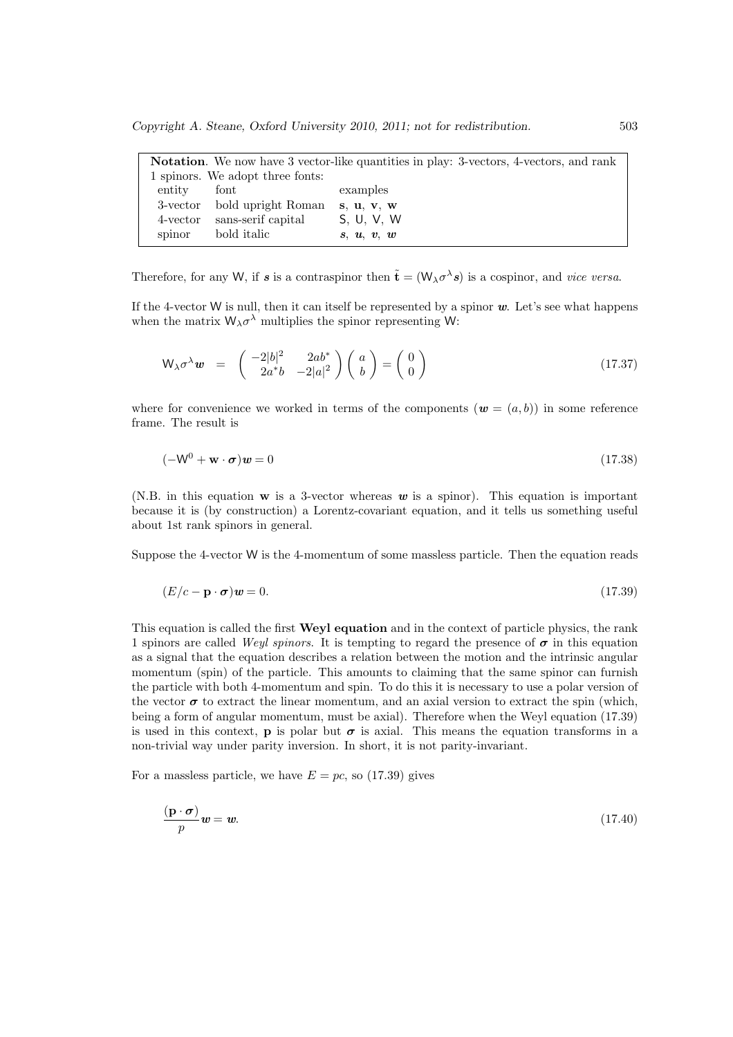|          |                                  | <b>Notation</b> . We now have 3 vector-like quantities in play: 3-vectors, 4-vectors, and rank |
|----------|----------------------------------|------------------------------------------------------------------------------------------------|
|          | 1 spinors. We adopt three fonts: |                                                                                                |
| entity   | font                             | examples                                                                                       |
| 3-vector | bold upright Roman               | s. u. v. w                                                                                     |
| 4-vector | sans-serif capital               | S. U. V. W                                                                                     |
| spinor   | bold italic                      | s, u, v, w                                                                                     |

Therefore, for any W, if s is a contraspinor then  $\tilde{\mathbf{t}} = (\mathsf{W}_{\lambda} \sigma^{\lambda} s)$  is a cospinor, and vice versa.

If the 4-vector W is null, then it can itself be represented by a spinor  $w$ . Let's see what happens when the matrix  $W_{\lambda} \sigma^{\lambda}$  multiplies the spinor representing W:

$$
\mathsf{W}_{\lambda}\sigma^{\lambda}\mathbf{w} = \begin{pmatrix} -2|b|^2 & 2ab^* \\ 2a^*b & -2|a|^2 \end{pmatrix} \begin{pmatrix} a \\ b \end{pmatrix} = \begin{pmatrix} 0 \\ 0 \end{pmatrix}
$$
 (17.37)

where for convenience we worked in terms of the components  $(w = (a, b))$  in some reference frame. The result is

$$
(-\mathsf{W}^0 + \mathbf{w} \cdot \boldsymbol{\sigma})\mathbf{w} = 0\tag{17.38}
$$

(N.B. in this equation  $w$  is a 3-vector whereas  $w$  is a spinor). This equation is important because it is (by construction) a Lorentz-covariant equation, and it tells us something useful about 1st rank spinors in general.

Suppose the 4-vector W is the 4-momentum of some massless particle. Then the equation reads

$$
(E/c - \mathbf{p} \cdot \boldsymbol{\sigma})\mathbf{w} = 0. \tag{17.39}
$$

This equation is called the first **Weyl equation** and in the context of particle physics, the rank 1 spinors are called Weyl spinors. It is tempting to regard the presence of  $\sigma$  in this equation as a signal that the equation describes a relation between the motion and the intrinsic angular momentum (spin) of the particle. This amounts to claiming that the same spinor can furnish the particle with both 4-momentum and spin. To do this it is necessary to use a polar version of the vector  $\sigma$  to extract the linear momentum, and an axial version to extract the spin (which, being a form of angular momentum, must be axial). Therefore when the Weyl equation (17.39) is used in this context, **p** is polar but  $\sigma$  is axial. This means the equation transforms in a non-trivial way under parity inversion. In short, it is not parity-invariant.

For a massless particle, we have  $E = pc$ , so (17.39) gives

$$
\frac{(\mathbf{p} \cdot \boldsymbol{\sigma})}{p} \mathbf{w} = \mathbf{w}.\tag{17.40}
$$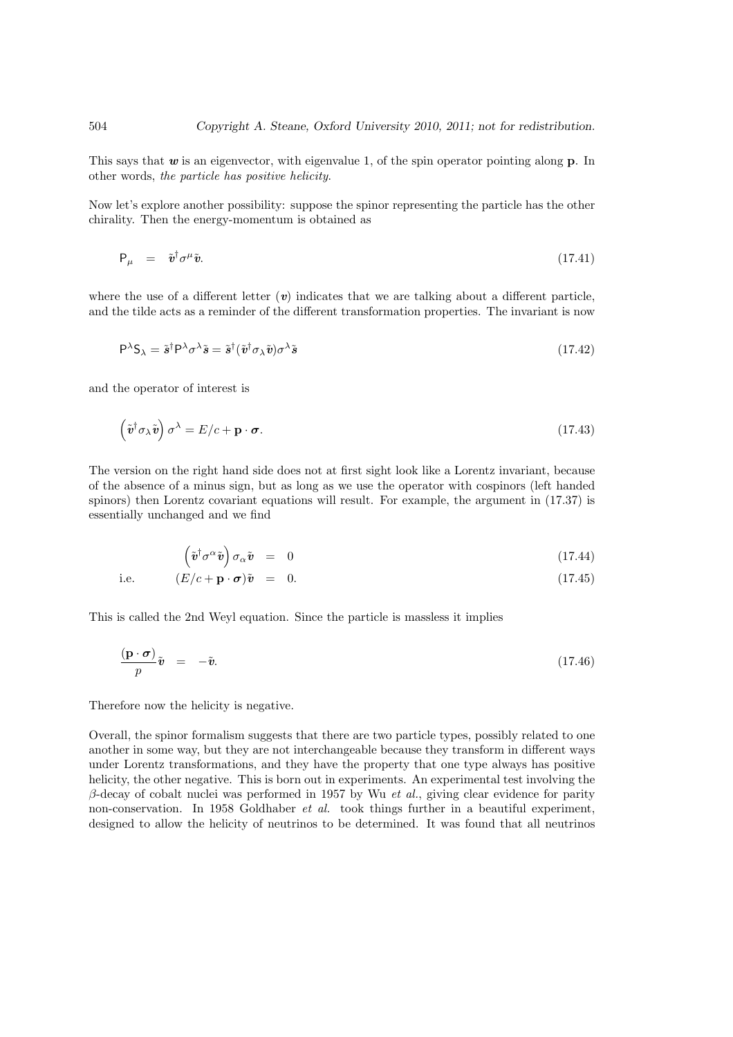This says that  $w$  is an eigenvector, with eigenvalue 1, of the spin operator pointing along  $p$ . In other words, the particle has positive helicity.

Now let's explore another possibility: suppose the spinor representing the particle has the other chirality. Then the energy-momentum is obtained as

$$
\mathsf{P}_{\mu} = \tilde{\mathbf{v}}^{\dagger} \sigma^{\mu} \tilde{\mathbf{v}}. \tag{17.41}
$$

where the use of a different letter  $(v)$  indicates that we are talking about a different particle, and the tilde acts as a reminder of the different transformation properties. The invariant is now

$$
P^{\lambda}S_{\lambda} = \tilde{s}^{\dagger}P^{\lambda}\sigma^{\lambda}\tilde{s} = \tilde{s}^{\dagger}(\tilde{v}^{\dagger}\sigma_{\lambda}\tilde{v})\sigma^{\lambda}\tilde{s}
$$
\n(17.42)

and the operator of interest is

$$
\left(\tilde{\mathbf{v}}^{\dagger}\sigma_{\lambda}\tilde{\mathbf{v}}\right)\sigma^{\lambda} = E/c + \mathbf{p} \cdot \boldsymbol{\sigma}.\tag{17.43}
$$

The version on the right hand side does not at first sight look like a Lorentz invariant, because of the absence of a minus sign, but as long as we use the operator with cospinors (left handed spinors) then Lorentz covariant equations will result. For example, the argument in (17.37) is essentially unchanged and we find

$$
\left(\tilde{\boldsymbol{v}}^{\dagger}\sigma^{\alpha}\tilde{\boldsymbol{v}}\right)\sigma_{\alpha}\tilde{\boldsymbol{v}} = 0 \tag{17.44}
$$

i.e. 
$$
(E/c + \mathbf{p} \cdot \boldsymbol{\sigma})\tilde{\mathbf{v}} = 0.
$$
 (17.45)

This is called the 2nd Weyl equation. Since the particle is massless it implies

$$
\frac{(\mathbf{p} \cdot \boldsymbol{\sigma})}{p} \tilde{\boldsymbol{v}} = -\tilde{\boldsymbol{v}}.
$$
\n(17.46)

Therefore now the helicity is negative.

Overall, the spinor formalism suggests that there are two particle types, possibly related to one another in some way, but they are not interchangeable because they transform in different ways under Lorentz transformations, and they have the property that one type always has positive helicity, the other negative. This is born out in experiments. An experimental test involving the β-decay of cobalt nuclei was performed in 1957 by Wu *et al.*, giving clear evidence for parity non-conservation. In 1958 Goldhaber et al. took things further in a beautiful experiment, designed to allow the helicity of neutrinos to be determined. It was found that all neutrinos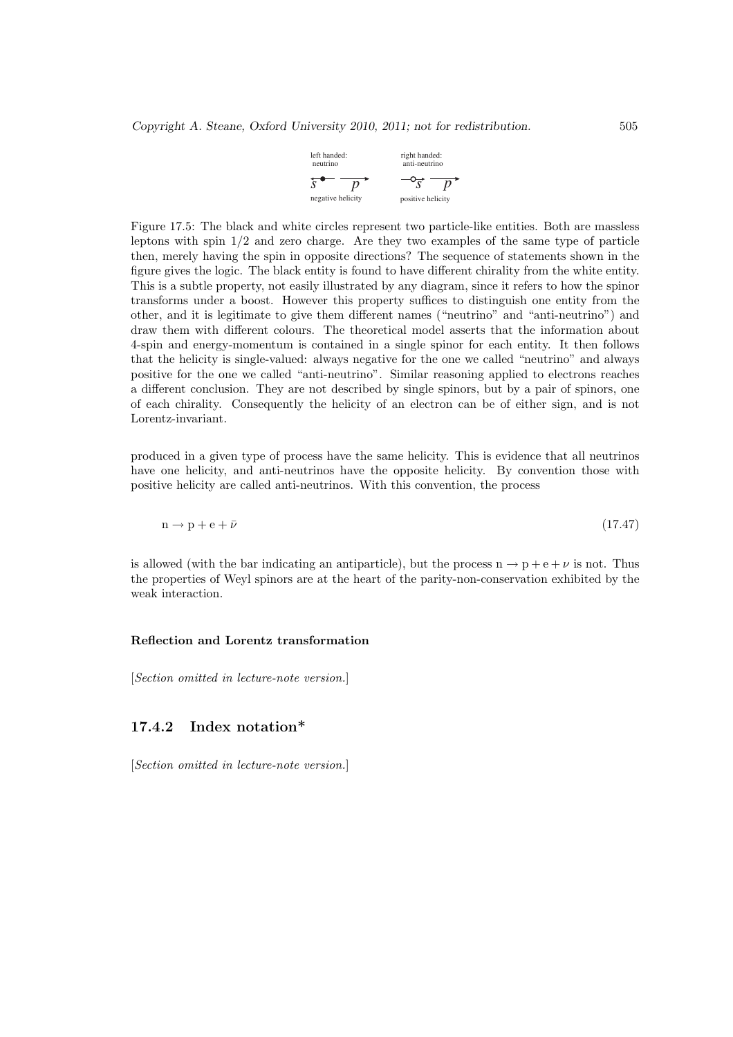| left handed:<br>neutrino | right handed:<br>anti-neutrino |  |
|--------------------------|--------------------------------|--|
|                          |                                |  |
| negative helicity        | positive helicity              |  |

Figure 17.5: The black and white circles represent two particle-like entities. Both are massless leptons with spin  $1/2$  and zero charge. Are they two examples of the same type of particle then, merely having the spin in opposite directions? The sequence of statements shown in the figure gives the logic. The black entity is found to have different chirality from the white entity. This is a subtle property, not easily illustrated by any diagram, since it refers to how the spinor transforms under a boost. However this property suffices to distinguish one entity from the other, and it is legitimate to give them different names ("neutrino" and "anti-neutrino") and draw them with different colours. The theoretical model asserts that the information about 4-spin and energy-momentum is contained in a single spinor for each entity. It then follows that the helicity is single-valued: always negative for the one we called "neutrino" and always positive for the one we called "anti-neutrino". Similar reasoning applied to electrons reaches a different conclusion. They are not described by single spinors, but by a pair of spinors, one of each chirality. Consequently the helicity of an electron can be of either sign, and is not Lorentz-invariant.

produced in a given type of process have the same helicity. This is evidence that all neutrinos have one helicity, and anti-neutrinos have the opposite helicity. By convention those with positive helicity are called anti-neutrinos. With this convention, the process

$$
n \to p + e + \bar{\nu} \tag{17.47}
$$

is allowed (with the bar indicating an antiparticle), but the process  $n \rightarrow p + e + \nu$  is not. Thus the properties of Weyl spinors are at the heart of the parity-non-conservation exhibited by the weak interaction.

#### Reflection and Lorentz transformation

[Section omitted in lecture-note version.]

#### 17.4.2 Index notation\*

[Section omitted in lecture-note version.]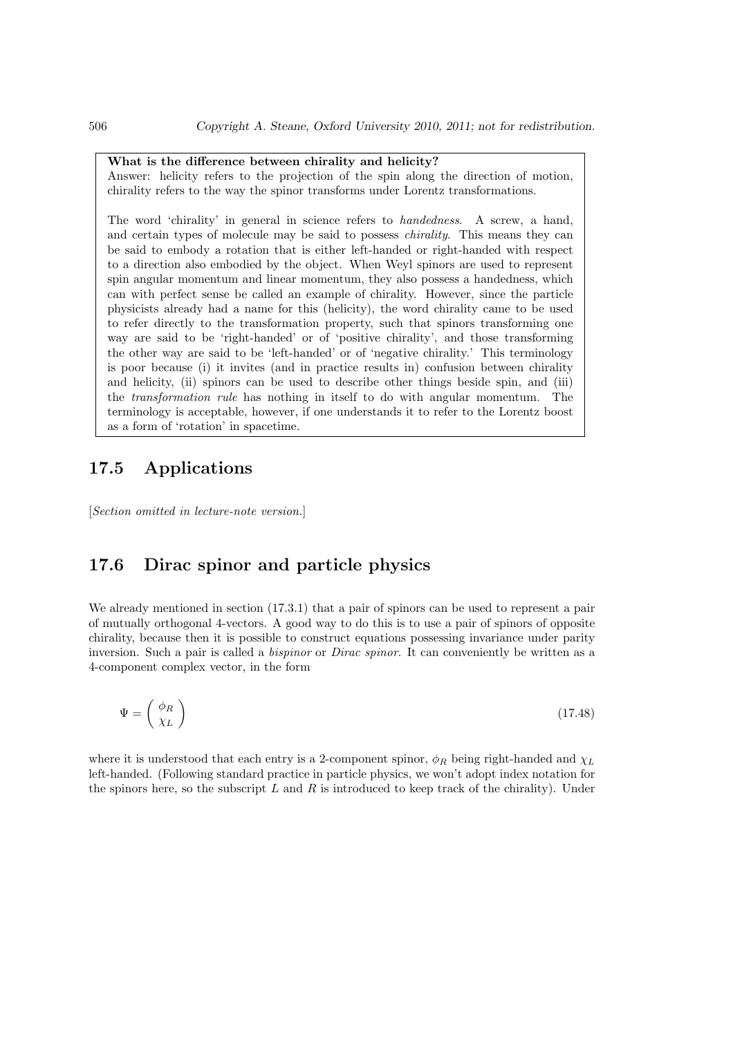#### What is the difference between chirality and helicity?

Answer: helicity refers to the projection of the spin along the direction of motion, chirality refers to the way the spinor transforms under Lorentz transformations.

The word 'chirality' in general in science refers to handedness. A screw, a hand, and certain types of molecule may be said to possess chirality. This means they can be said to embody a rotation that is either left-handed or right-handed with respect to a direction also embodied by the object. When Weyl spinors are used to represent spin angular momentum and linear momentum, they also possess a handedness, which can with perfect sense be called an example of chirality. However, since the particle physicists already had a name for this (helicity), the word chirality came to be used to refer directly to the transformation property, such that spinors transforming one way are said to be 'right-handed' or of 'positive chirality', and those transforming the other way are said to be 'left-handed' or of 'negative chirality.' This terminology is poor because (i) it invites (and in practice results in) confusion between chirality and helicity, (ii) spinors can be used to describe other things beside spin, and (iii) the transformation rule has nothing in itself to do with angular momentum. The terminology is acceptable, however, if one understands it to refer to the Lorentz boost as a form of 'rotation' in spacetime.

## 17.5 Applications

[Section omitted in lecture-note version.]

## 17.6 Dirac spinor and particle physics

We already mentioned in section  $(17.3.1)$  that a pair of spinors can be used to represent a pair of mutually orthogonal 4-vectors. A good way to do this is to use a pair of spinors of opposite chirality, because then it is possible to construct equations possessing invariance under parity inversion. Such a pair is called a *bispinor* or *Dirac spinor*. It can conveniently be written as a 4-component complex vector, in the form

$$
\Psi = \left(\begin{array}{c} \phi_R \\ \chi_L \end{array}\right) \tag{17.48}
$$

where it is understood that each entry is a 2-component spinor,  $\phi_R$  being right-handed and  $\chi_L$ left-handed. (Following standard practice in particle physics, we won't adopt index notation for the spinors here, so the subscript  $L$  and  $R$  is introduced to keep track of the chirality). Under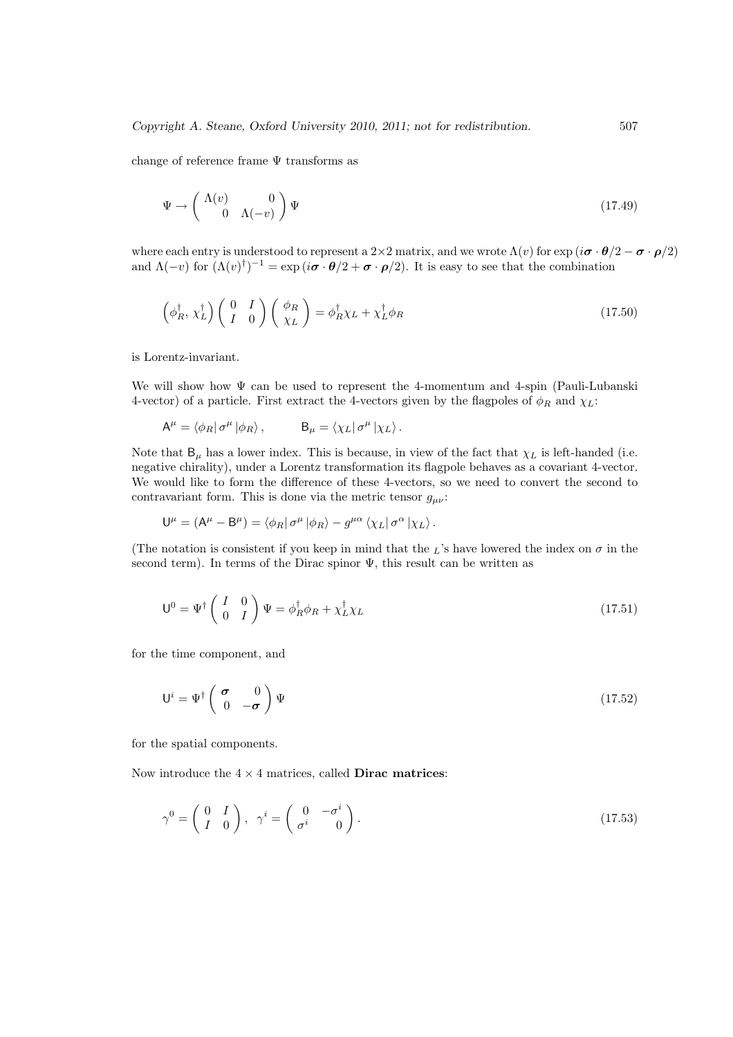change of reference frame  $\Psi$  transforms as

$$
\Psi \to \begin{pmatrix} \Lambda(v) & 0 \\ 0 & \Lambda(-v) \end{pmatrix} \Psi \tag{17.49}
$$

where each entry is understood to represent a 2×2 matrix, and we wrote  $\Lambda(v)$  for  $\exp(i\boldsymbol{\sigma}\cdot\boldsymbol{\theta}/2-\boldsymbol{\sigma}\cdot\boldsymbol{\rho}/2)$ and  $\Lambda(-v)$  for  $(\Lambda(v)^{\dagger})^{-1} = \exp(i\boldsymbol{\sigma} \cdot \boldsymbol{\theta}/2 + \boldsymbol{\sigma} \cdot \boldsymbol{\rho}/2)$ . It is easy to see that the combination

$$
\left(\phi_R^{\dagger}, \chi_L^{\dagger}\right) \left(\begin{array}{cc} 0 & I \\ I & 0 \end{array}\right) \left(\begin{array}{c} \phi_R \\ \chi_L \end{array}\right) = \phi_R^{\dagger} \chi_L + \chi_L^{\dagger} \phi_R \tag{17.50}
$$

is Lorentz-invariant.

We will show how  $\Psi$  can be used to represent the 4-momentum and 4-spin (Pauli-Lubanski 4-vector) of a particle. First extract the 4-vectors given by the flagpoles of  $\phi_R$  and  $\chi_L$ :

$$
A^{\mu} = \langle \phi_R | \sigma^{\mu} | \phi_R \rangle , \qquad B_{\mu} = \langle \chi_L | \sigma^{\mu} | \chi_L \rangle .
$$

Note that  $B_{\mu}$  has a lower index. This is because, in view of the fact that  $\chi_L$  is left-handed (i.e. negative chirality), under a Lorentz transformation its flagpole behaves as a covariant 4-vector. We would like to form the difference of these 4-vectors, so we need to convert the second to contravariant form. This is done via the metric tensor  $g_{\mu\nu}$ :

$$
\mathsf{U}^{\mu}=(\mathsf{A}^{\mu}-\mathsf{B}^{\mu})=\left\langle \phi_{R}\right|\sigma^{\mu}\left|\phi_{R}\right\rangle -g^{\mu\alpha}\left\langle \chi_{L}\right|\sigma^{\alpha}\left|\chi_{L}\right\rangle .
$$

(The notation is consistent if you keep in mind that the  $\overline{L}$ 's have lowered the index on  $\sigma$  in the second term). In terms of the Dirac spinor  $\Psi$ , this result can be written as

$$
\mathsf{U}^0 = \Psi^{\dagger} \begin{pmatrix} I & 0 \\ 0 & I \end{pmatrix} \Psi = \phi_R^{\dagger} \phi_R + \chi_L^{\dagger} \chi_L \tag{17.51}
$$

for the time component, and

$$
\mathsf{U}^{i} = \Psi^{\dagger} \begin{pmatrix} \boldsymbol{\sigma} & 0 \\ 0 & -\boldsymbol{\sigma} \end{pmatrix} \Psi \tag{17.52}
$$

for the spatial components.

Now introduce the  $4 \times 4$  matrices, called **Dirac matrices**:

$$
\gamma^0 = \begin{pmatrix} 0 & I \\ I & 0 \end{pmatrix}, \quad \gamma^i = \begin{pmatrix} 0 & -\sigma^i \\ \sigma^i & 0 \end{pmatrix}.
$$
 (17.53)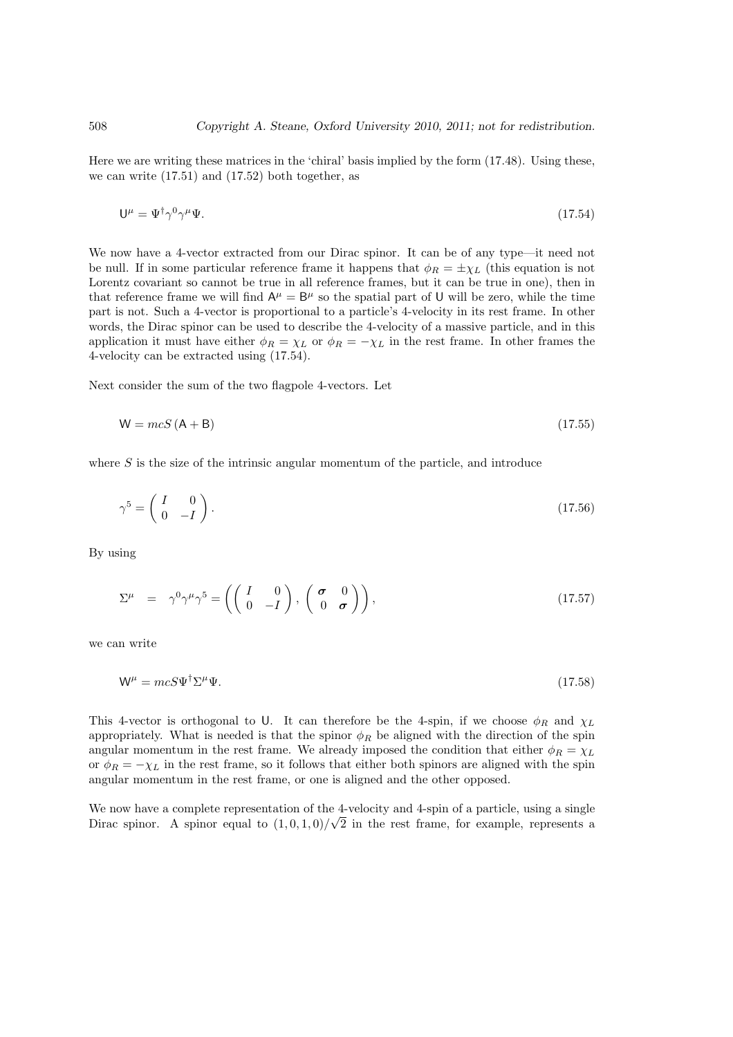Here we are writing these matrices in the 'chiral' basis implied by the form (17.48). Using these, we can write  $(17.51)$  and  $(17.52)$  both together, as

$$
\mathsf{U}^{\mu} = \Psi^{\dagger} \gamma^0 \gamma^{\mu} \Psi. \tag{17.54}
$$

We now have a 4-vector extracted from our Dirac spinor. It can be of any type—it need not be null. If in some particular reference frame it happens that  $\phi_R = \pm \chi_L$  (this equation is not Lorentz covariant so cannot be true in all reference frames, but it can be true in one), then in that reference frame we will find  $A^{\mu} = B^{\mu}$  so the spatial part of U will be zero, while the time part is not. Such a 4-vector is proportional to a particle's 4-velocity in its rest frame. In other words, the Dirac spinor can be used to describe the 4-velocity of a massive particle, and in this application it must have either  $\phi_R = \chi_L$  or  $\phi_R = -\chi_L$  in the rest frame. In other frames the 4-velocity can be extracted using (17.54).

Next consider the sum of the two flagpole 4-vectors. Let

$$
W = mcS (A + B) \tag{17.55}
$$

where  $S$  is the size of the intrinsic angular momentum of the particle, and introduce

$$
\gamma^5 = \begin{pmatrix} I & 0 \\ 0 & -I \end{pmatrix} . \tag{17.56}
$$

By using

$$
\Sigma^{\mu} = \gamma^0 \gamma^{\mu} \gamma^5 = \left( \begin{pmatrix} I & 0 \\ 0 & -I \end{pmatrix}, \begin{pmatrix} \sigma & 0 \\ 0 & \sigma \end{pmatrix} \right), \qquad (17.57)
$$

we can write

$$
\mathsf{W}^{\mu} = mcS\Psi^{\dagger}\Sigma^{\mu}\Psi. \tag{17.58}
$$

This 4-vector is orthogonal to U. It can therefore be the 4-spin, if we choose  $\phi_R$  and  $\chi_L$ appropriately. What is needed is that the spinor  $\phi_R$  be aligned with the direction of the spin angular momentum in the rest frame. We already imposed the condition that either  $\phi_R = \chi_L$ or  $\phi_R = -\chi_L$  in the rest frame, so it follows that either both spinors are aligned with the spin angular momentum in the rest frame, or one is aligned and the other opposed.

We now have a complete representation of the 4-velocity and 4-spin of a particle, using a single Dirac spinor. A spinor equal to  $(1,0,1,0)/\sqrt{2}$  in the rest frame, for example, represents a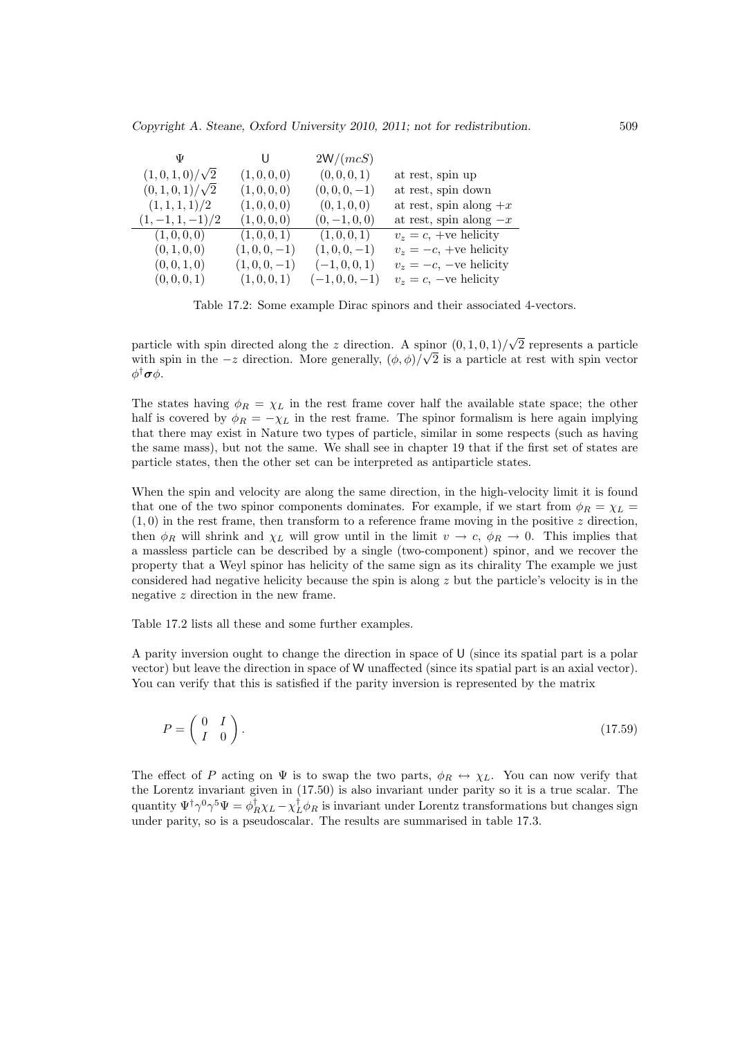|                      |              | 2W/(mcS)      |                           |
|----------------------|--------------|---------------|---------------------------|
| $(1,0,1,0)/\sqrt{2}$ | (1,0,0,0)    | (0,0,0,1)     | at rest, spin up          |
| $(0,1,0,1)/\sqrt{2}$ | (1, 0, 0, 0) | $(0,0,0,-1)$  | at rest, spin down        |
| (1,1,1,1)/2          | (1, 0, 0, 0) | (0, 1, 0, 0)  | at rest, spin along $+x$  |
| $(1, -1, 1, -1)/2$   | (1,0,0,0)    | $(0,-1,0,0)$  | at rest, spin along $-x$  |
| (1,0,0,0)            | (1,0,0,1)    | (1,0,0,1)     | $v_z = c$ , +ve helicity  |
| (0, 1, 0, 0)         | $(1,0,0,-1)$ | $(1,0,0,-1)$  | $v_z = -c$ , +ve helicity |
| (0, 0, 1, 0)         | $(1,0,0,-1)$ | $(-1,0,0,1)$  | $v_z = -c$ , -ve helicity |
| (0, 0, 0, 1)         | (1,0,0,1)    | $(-1,0,0,-1)$ | $v_z = c$ , -ve helicity  |

Table 17.2: Some example Dirac spinors and their associated 4-vectors.

particle with spin directed along the z direction. A spinor  $(0, 1, 0, 1)$ √  $\frac{\text{binor}}{\sqrt{2}}$  (0, 1, 0, 1)/ $\sqrt{2}$  represents a particle with spin in the  $-z$  direction. More generally,  $(\phi, \phi)/\sqrt{2}$  is a particle at rest with spin vector φ<sup>†</sup>σφ.

The states having  $\phi_R = \chi_L$  in the rest frame cover half the available state space; the other half is covered by  $\phi_R = -\chi_L$  in the rest frame. The spinor formalism is here again implying that there may exist in Nature two types of particle, similar in some respects (such as having the same mass), but not the same. We shall see in chapter 19 that if the first set of states are particle states, then the other set can be interpreted as antiparticle states.

When the spin and velocity are along the same direction, in the high-velocity limit it is found that one of the two spinor components dominates. For example, if we start from  $\phi_R = \chi_L =$  $(1,0)$  in the rest frame, then transform to a reference frame moving in the positive z direction, then  $\phi_R$  will shrink and  $\chi_L$  will grow until in the limit  $v \to c$ ,  $\phi_R \to 0$ . This implies that a massless particle can be described by a single (two-component) spinor, and we recover the property that a Weyl spinor has helicity of the same sign as its chirality The example we just considered had negative helicity because the spin is along  $z$  but the particle's velocity is in the negative z direction in the new frame.

Table 17.2 lists all these and some further examples.

A parity inversion ought to change the direction in space of U (since its spatial part is a polar vector) but leave the direction in space of W unaffected (since its spatial part is an axial vector). You can verify that this is satisfied if the parity inversion is represented by the matrix

$$
P = \left(\begin{array}{cc} 0 & I \\ I & 0 \end{array}\right). \tag{17.59}
$$

The effect of P acting on  $\Psi$  is to swap the two parts,  $\phi_R \leftrightarrow \chi_L$ . You can now verify that the Lorentz invariant given in (17.50) is also invariant under parity so it is a true scalar. The quantity  $\Psi^{\dagger}\gamma^0\gamma^5\Psi = \phi_R^{\dagger}\chi_L - \chi_L^{\dagger}\phi_R$  is invariant under Lorentz transformations but changes sign under parity, so is a pseudoscalar. The results are summarised in table 17.3.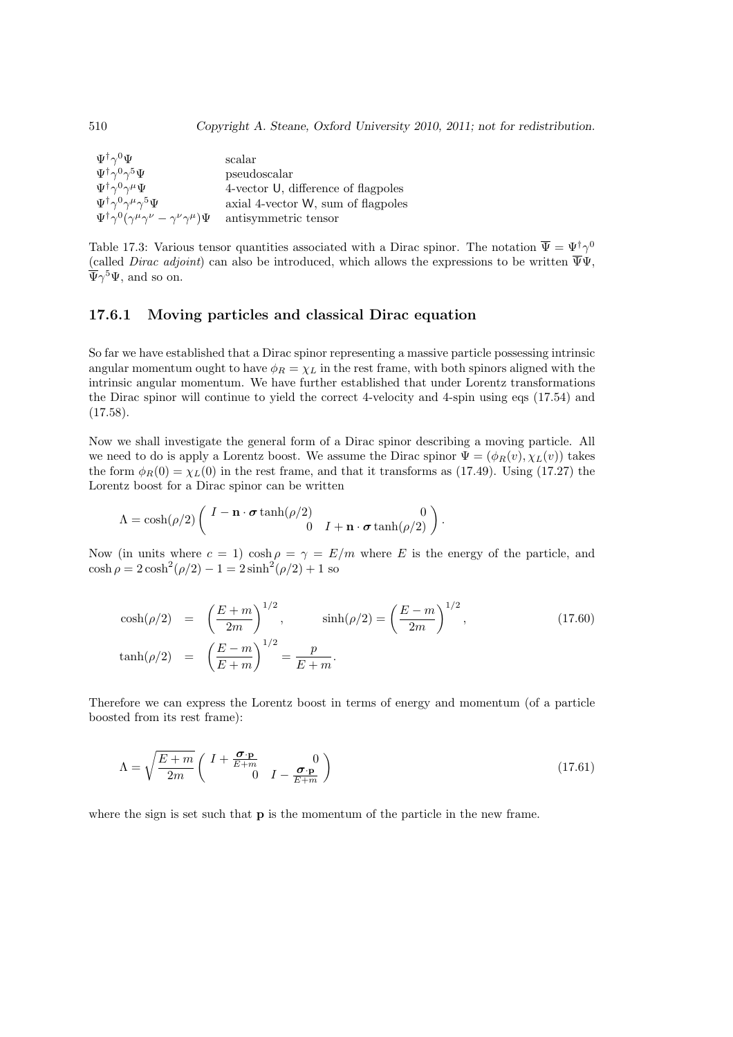| $\Psi^\dagger \gamma^0 \Psi$                                                           | scalar                              |
|----------------------------------------------------------------------------------------|-------------------------------------|
| $\Psi^\dagger \gamma^0 \gamma^5 \Psi$                                                  | pseudoscalar                        |
| $\Psi^\dagger \gamma^0 \gamma^\mu \Psi$                                                | 4-vector U, difference of flagpoles |
| $\Psi^\dagger \gamma^0 \gamma^\mu \gamma^5 \Psi$                                       | axial 4-vector W, sum of flagpoles  |
| $\Psi^{\dagger} \gamma^0 (\gamma^{\mu} \gamma^{\nu} - \gamma^{\nu} \gamma^{\mu}) \Psi$ | antisymmetric tensor                |

Table 17.3: Various tensor quantities associated with a Dirac spinor. The notation  $\overline{\Psi} = \Psi^{\dagger} \gamma^0$ (called *Dirac adjoint*) can also be introduced, which allows the expressions to be written  $\overline{\Psi}\Psi$ ,  $\overline{\Psi}\gamma^5\Psi$ , and so on.

#### 17.6.1 Moving particles and classical Dirac equation

So far we have established that a Dirac spinor representing a massive particle possessing intrinsic angular momentum ought to have  $\phi_R = \chi_L$  in the rest frame, with both spinors aligned with the intrinsic angular momentum. We have further established that under Lorentz transformations the Dirac spinor will continue to yield the correct 4-velocity and 4-spin using eqs (17.54) and  $(17.58).$ 

Now we shall investigate the general form of a Dirac spinor describing a moving particle. All we need to do is apply a Lorentz boost. We assume the Dirac spinor  $\Psi = (\phi_R(v), \chi_L(v))$  takes the form  $\phi_R(0) = \chi_L(0)$  in the rest frame, and that it transforms as (17.49). Using (17.27) the Lorentz boost for a Dirac spinor can be written

$$
\Lambda = \cosh(\rho/2) \left( \begin{array}{cc} I - \mathbf{n} \cdot \boldsymbol{\sigma} \tanh(\rho/2) & 0 \\ 0 & I + \mathbf{n} \cdot \boldsymbol{\sigma} \tanh(\rho/2) \end{array} \right).
$$

Now (in units where  $c = 1$ ) cosh  $\rho = \gamma = E/m$  where E is the energy of the particle, and  $\cosh \rho = 2 \cosh^2(\rho/2) - 1 = 2 \sinh^2(\rho/2) + 1$  so

$$
\cosh(\rho/2) = \left(\frac{E+m}{2m}\right)^{1/2}, \qquad \sinh(\rho/2) = \left(\frac{E-m}{2m}\right)^{1/2},
$$
\n
$$
\tanh(\rho/2) = \left(\frac{E-m}{E+m}\right)^{1/2} = \frac{p}{E+m}.
$$
\n(17.60)

Therefore we can express the Lorentz boost in terms of energy and momentum (of a particle boosted from its rest frame):

$$
\Lambda = \sqrt{\frac{E+m}{2m}} \begin{pmatrix} I + \frac{\sigma \cdot \mathbf{p}}{E+m} & 0\\ 0 & I - \frac{\sigma \cdot \mathbf{p}}{E+m} \end{pmatrix}
$$
\n(17.61)

where the sign is set such that **p** is the momentum of the particle in the new frame.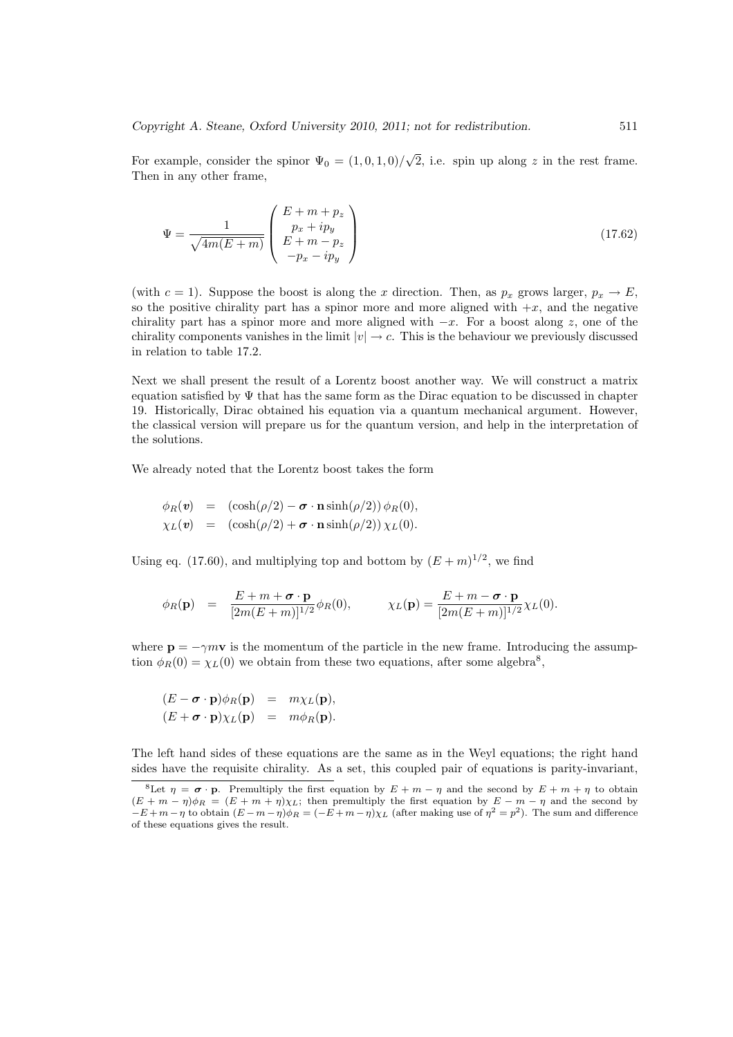For example, consider the spinor  $\Psi_0 = (1, 0, 1, 0)$ / √  $\overline{2}$ , i.e. spin up along z in the rest frame. Then in any other frame,

$$
\Psi = \frac{1}{\sqrt{4m(E+m)}} \begin{pmatrix} E+m+p_z \\ p_x+ip_y \\ E+m-p_z \\ -p_x-ip_y \end{pmatrix}
$$
\n(17.62)

(with  $c = 1$ ). Suppose the boost is along the x direction. Then, as  $p_x$  grows larger,  $p_x \to E$ , so the positive chirality part has a spinor more and more aligned with  $+x$ , and the negative chirality part has a spinor more and more aligned with  $-x$ . For a boost along z, one of the chirality components vanishes in the limit  $|v| \to c$ . This is the behaviour we previously discussed in relation to table 17.2.

Next we shall present the result of a Lorentz boost another way. We will construct a matrix equation satisfied by  $\Psi$  that has the same form as the Dirac equation to be discussed in chapter 19. Historically, Dirac obtained his equation via a quantum mechanical argument. However, the classical version will prepare us for the quantum version, and help in the interpretation of the solutions.

We already noted that the Lorentz boost takes the form

$$
\begin{array}{rcl}\n\phi_R(\mathbf{v}) & = & \left(\cosh(\rho/2) - \boldsymbol{\sigma} \cdot \mathbf{n} \sinh(\rho/2)\right) \phi_R(0), \\
\chi_L(\mathbf{v}) & = & \left(\cosh(\rho/2) + \boldsymbol{\sigma} \cdot \mathbf{n} \sinh(\rho/2)\right) \chi_L(0).\n\end{array}
$$

Using eq. (17.60), and multiplying top and bottom by  $(E+m)^{1/2}$ , we find

$$
\phi_R(\mathbf{p}) = \frac{E + m + \boldsymbol{\sigma} \cdot \mathbf{p}}{[2m(E + m)]^{1/2}} \phi_R(0), \qquad \chi_L(\mathbf{p}) = \frac{E + m - \boldsymbol{\sigma} \cdot \mathbf{p}}{[2m(E + m)]^{1/2}} \chi_L(0).
$$

where  $\mathbf{p} = -\gamma m \mathbf{v}$  is the momentum of the particle in the new frame. Introducing the assumption  $\phi_R(0) = \chi_L(0)$  we obtain from these two equations, after some algebra<sup>8</sup>,

$$
(E - \boldsymbol{\sigma} \cdot \mathbf{p})\phi_R(\mathbf{p}) = m\chi_L(\mathbf{p}),
$$
  

$$
(E + \boldsymbol{\sigma} \cdot \mathbf{p})\chi_L(\mathbf{p}) = m\phi_R(\mathbf{p}).
$$

The left hand sides of these equations are the same as in the Weyl equations; the right hand sides have the requisite chirality. As a set, this coupled pair of equations is parity-invariant,

<sup>&</sup>lt;sup>8</sup>Let  $\eta = \sigma \cdot p$ . Premultiply the first equation by  $E + m - \eta$  and the second by  $E + m + \eta$  to obtain  $(E + m - \eta)\phi_R = (E + m + \eta)\chi_L$ ; then premultiply the first equation by  $E - m - \eta$  and the second by  $-E+m-\eta$  to obtain  $(E-m-\eta)\phi_R=(-E+m-\eta)\chi_L$  (after making use of  $\eta^2=p^2$ ). The sum and difference of these equations gives the result.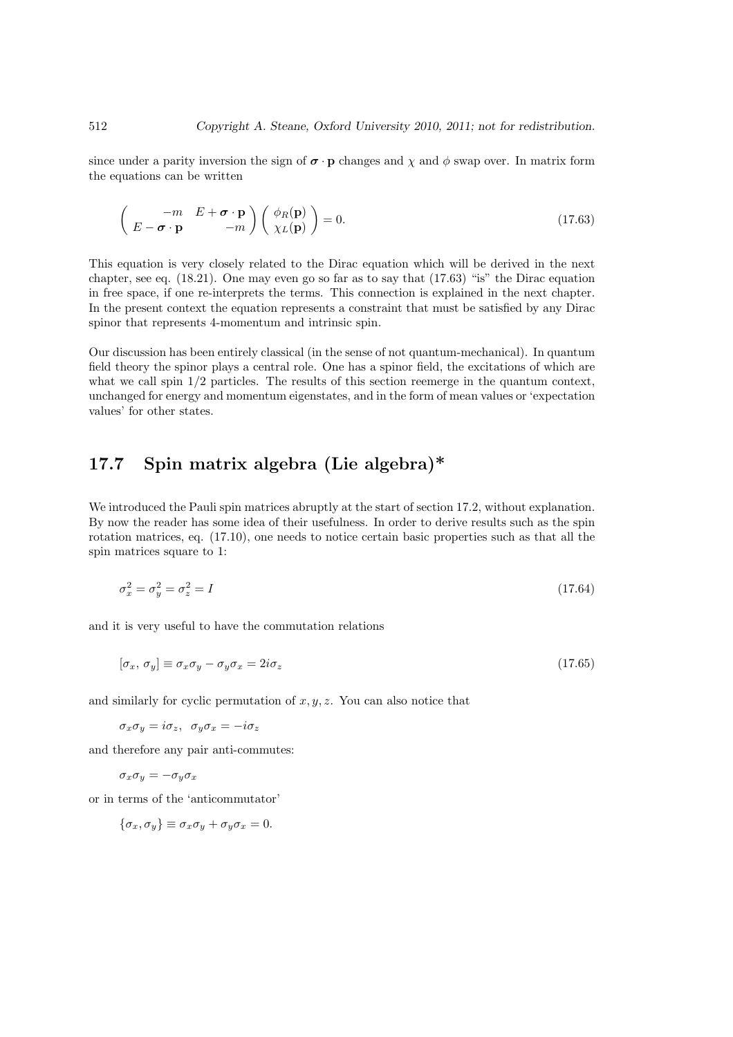since under a parity inversion the sign of  $\sigma \cdot \mathbf{p}$  changes and  $\chi$  and  $\phi$  swap over. In matrix form the equations can be written

$$
\begin{pmatrix} -m & E + \boldsymbol{\sigma} \cdot \mathbf{p} \\ E - \boldsymbol{\sigma} \cdot \mathbf{p} & -m \end{pmatrix} \begin{pmatrix} \phi_R(\mathbf{p}) \\ \chi_L(\mathbf{p}) \end{pmatrix} = 0.
$$
 (17.63)

This equation is very closely related to the Dirac equation which will be derived in the next chapter, see eq.  $(18.21)$ . One may even go so far as to say that  $(17.63)$  "is" the Dirac equation in free space, if one re-interprets the terms. This connection is explained in the next chapter. In the present context the equation represents a constraint that must be satisfied by any Dirac spinor that represents 4-momentum and intrinsic spin.

Our discussion has been entirely classical (in the sense of not quantum-mechanical). In quantum field theory the spinor plays a central role. One has a spinor field, the excitations of which are what we call spin  $1/2$  particles. The results of this section reemerge in the quantum context, unchanged for energy and momentum eigenstates, and in the form of mean values or 'expectation values' for other states.

## 17.7 Spin matrix algebra (Lie algebra)\*

We introduced the Pauli spin matrices abruptly at the start of section 17.2, without explanation. By now the reader has some idea of their usefulness. In order to derive results such as the spin rotation matrices, eq. (17.10), one needs to notice certain basic properties such as that all the spin matrices square to 1:

$$
\sigma_x^2 = \sigma_y^2 = \sigma_z^2 = I \tag{17.64}
$$

and it is very useful to have the commutation relations

$$
[\sigma_x, \sigma_y] \equiv \sigma_x \sigma_y - \sigma_y \sigma_x = 2i\sigma_z \tag{17.65}
$$

and similarly for cyclic permutation of  $x, y, z$ . You can also notice that

 $\sigma_x \sigma_y = i \sigma_z$ ,  $\sigma_y \sigma_x = -i \sigma_z$ 

and therefore any pair anti-commutes:

$$
\sigma_x\sigma_y=-\sigma_y\sigma_x
$$

or in terms of the 'anticommutator'

$$
\{\sigma_x, \sigma_y\} \equiv \sigma_x \sigma_y + \sigma_y \sigma_x = 0.
$$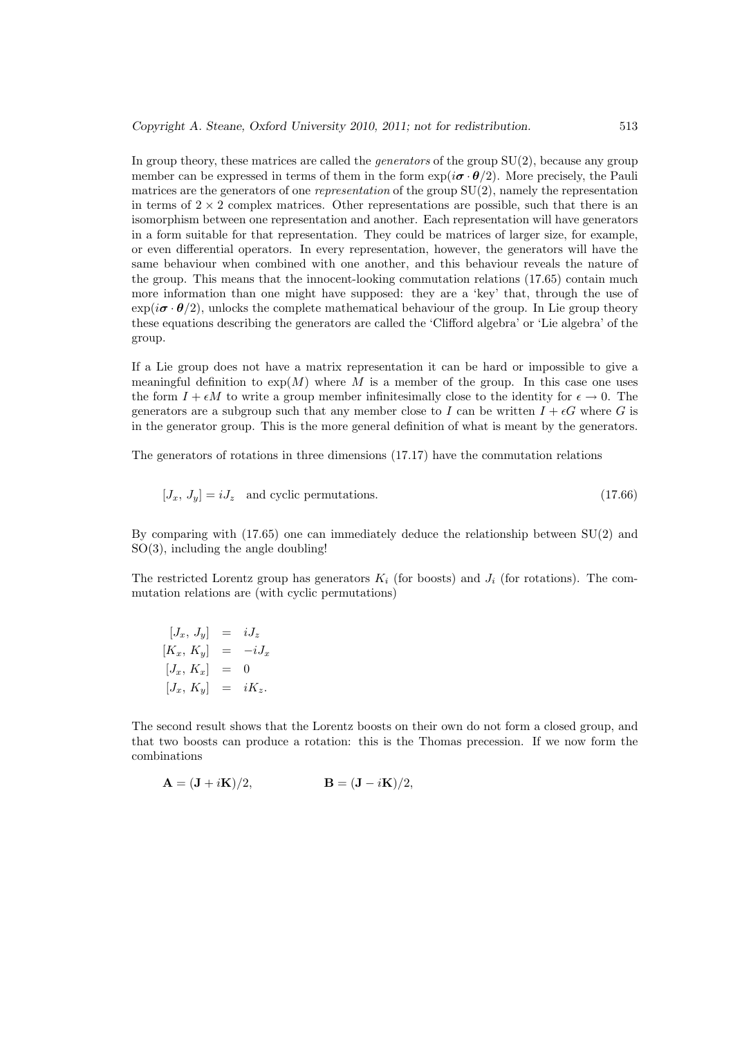In group theory, these matrices are called the *generators* of the group  $SU(2)$ , because any group member can be expressed in terms of them in the form  $\exp(i\boldsymbol{\sigma} \cdot \boldsymbol{\theta}/2)$ . More precisely, the Pauli matrices are the generators of one *representation* of the group  $SU(2)$ , namely the representation in terms of  $2 \times 2$  complex matrices. Other representations are possible, such that there is an isomorphism between one representation and another. Each representation will have generators in a form suitable for that representation. They could be matrices of larger size, for example, or even differential operators. In every representation, however, the generators will have the same behaviour when combined with one another, and this behaviour reveals the nature of the group. This means that the innocent-looking commutation relations (17.65) contain much more information than one might have supposed: they are a 'key' that, through the use of  $\exp(i\sigma \cdot \theta/2)$ , unlocks the complete mathematical behaviour of the group. In Lie group theory these equations describing the generators are called the 'Clifford algebra' or 'Lie algebra' of the group.

If a Lie group does not have a matrix representation it can be hard or impossible to give a meaningful definition to  $exp(M)$  where M is a member of the group. In this case one uses the form  $I + \epsilon M$  to write a group member infinitesimally close to the identity for  $\epsilon \to 0$ . The generators are a subgroup such that any member close to I can be written  $I + \epsilon G$  where G is in the generator group. This is the more general definition of what is meant by the generators.

The generators of rotations in three dimensions (17.17) have the commutation relations

$$
[J_x, J_y] = iJ_z \quad \text{and cyclic permutations.} \tag{17.66}
$$

By comparing with (17.65) one can immediately deduce the relationship between SU(2) and SO(3), including the angle doubling!

The restricted Lorentz group has generators  $K_i$  (for boosts) and  $J_i$  (for rotations). The commutation relations are (with cyclic permutations)

$$
[J_x, J_y] = iJ_z
$$
  
\n
$$
[K_x, K_y] = -iJ_x
$$
  
\n
$$
[J_x, K_x] = 0
$$
  
\n
$$
[J_x, K_y] = iK_z.
$$

The second result shows that the Lorentz boosts on their own do not form a closed group, and that two boosts can produce a rotation: this is the Thomas precession. If we now form the combinations

$$
\mathbf{A} = (\mathbf{J} + i\mathbf{K})/2, \qquad \qquad \mathbf{B} = (\mathbf{J} - i\mathbf{K})/2,
$$